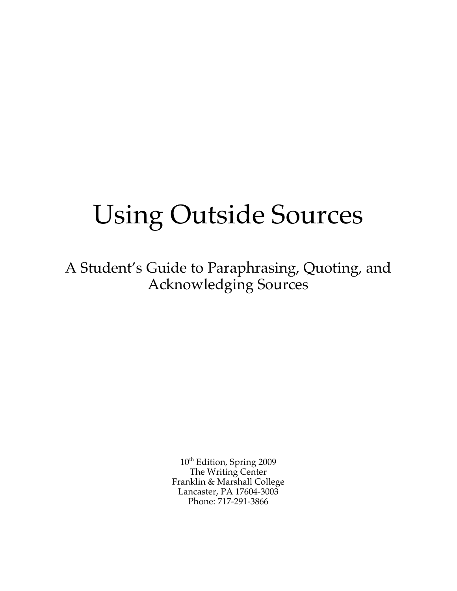# Using Outside Sources

A Student's Guide to Paraphrasing, Quoting, and Acknowledging Sources

> 10<sup>th</sup> Edition, Spring 2009 The Writing Center Franklin & Marshall College Lancaster, PA 17604-3003 Phone: 717-291-3866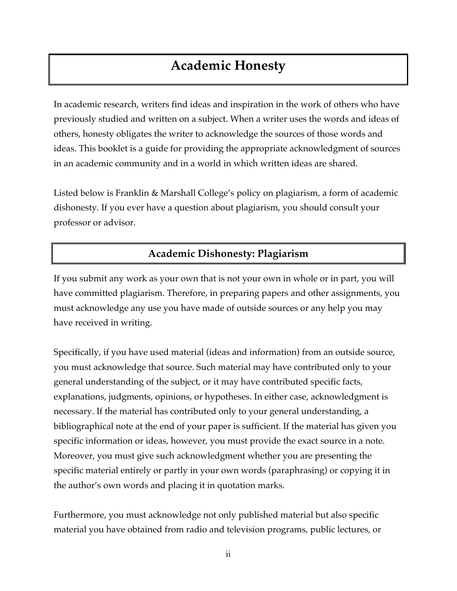## **Academic Honesty**

In academic research, writers find ideas and inspiration in the work of others who have previously studied and written on a subject. When a writer uses the words and ideas of others, honesty obligates the writer to acknowledge the sources of those words and ideas. This booklet is a guide for providing the appropriate acknowledgment of sources in an academic community and in a world in which written ideas are shared.

Listed below is Franklin & Marshall College's policy on plagiarism, a form of academic dishonesty. If you ever have a question about plagiarism, you should consult your professor or advisor.

### **Academic Dishonesty: Plagiarism**

If you submit any work as your own that is not your own in whole or in part, you will have committed plagiarism. Therefore, in preparing papers and other assignments, you must acknowledge any use you have made of outside sources or any help you may have received in writing.

Specifically, if you have used material (ideas and information) from an outside source, you must acknowledge that source. Such material may have contributed only to your general understanding of the subject, or it may have contributed specific facts, explanations, judgments, opinions, or hypotheses. In either case, acknowledgment is necessary. If the material has contributed only to your general understanding, a bibliographical note at the end of your paper is sufficient. If the material has given you specific information or ideas, however, you must provide the exact source in a note. Moreover, you must give such acknowledgment whether you are presenting the specific material entirely or partly in your own words (paraphrasing) or copying it in the author's own words and placing it in quotation marks.

Furthermore, you must acknowledge not only published material but also specific material you have obtained from radio and television programs, public lectures, or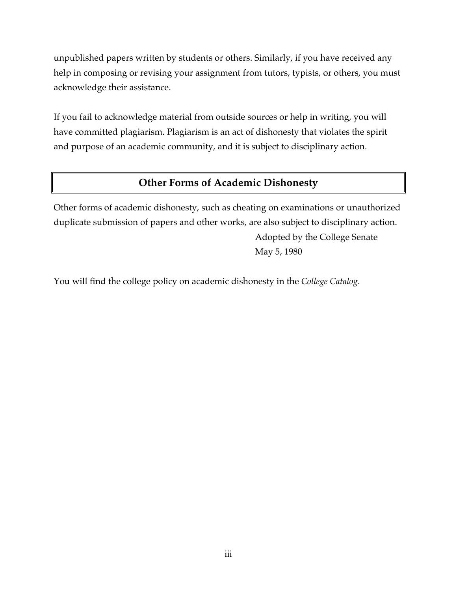unpublished papers written by students or others. Similarly, if you have received any help in composing or revising your assignment from tutors, typists, or others, you must acknowledge their assistance.

If you fail to acknowledge material from outside sources or help in writing, you will have committed plagiarism. Plagiarism is an act of dishonesty that violates the spirit and purpose of an academic community, and it is subject to disciplinary action.

### **Other Forms of Academic Dishonesty**

Other forms of academic dishonesty, such as cheating on examinations or unauthorized duplicate submission of papers and other works, are also subject to disciplinary action. Adopted by the College Senate May 5, 1980

You will find the college policy on academic dishonesty in the *College Catalog*.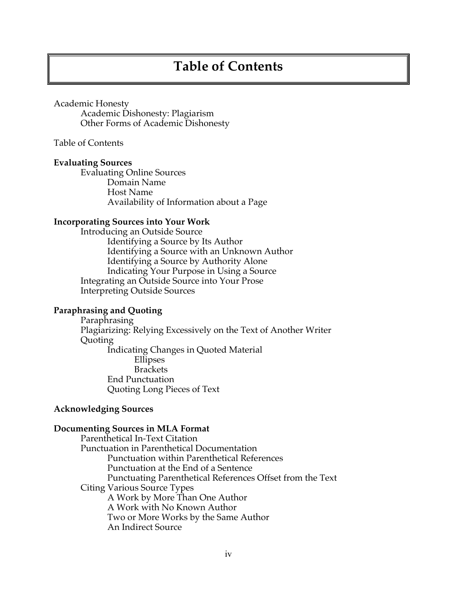## **Table of Contents**

#### Academic Honesty

Academic Dishonesty: Plagiarism Other Forms of Academic Dishonesty

Table of Contents

#### **Evaluating Sources**

Evaluating Online Sources Domain Name Host Name Availability of Information about a Page

#### **Incorporating Sources into Your Work**

Introducing an Outside Source Identifying a Source by Its Author Identifying a Source with an Unknown Author Identifying a Source by Authority Alone Indicating Your Purpose in Using a Source Integrating an Outside Source into Your Prose Interpreting Outside Sources

#### **Paraphrasing and Quoting**

Paraphrasing Plagiarizing: Relying Excessively on the Text of Another Writer Quoting Indicating Changes in Quoted Material Ellipses **Brackets** End Punctuation Quoting Long Pieces of Text

#### **Acknowledging Sources**

#### **Documenting Sources in MLA Format**

Parenthetical In-Text Citation Punctuation in Parenthetical Documentation Punctuation within Parenthetical References Punctuation at the End of a Sentence Punctuating Parenthetical References Offset from the Text Citing Various Source Types A Work by More Than One Author A Work with No Known Author Two or More Works by the Same Author An Indirect Source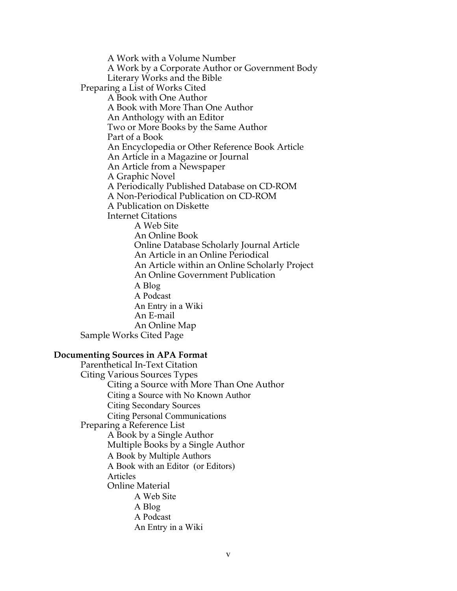A Work with a Volume Number A Work by a Corporate Author or Government Body Literary Works and the Bible Preparing a List of Works Cited A Book with One Author A Book with More Than One Author An Anthology with an Editor Two or More Books by the Same Author Part of a Book An Encyclopedia or Other Reference Book Article An Article in a Magazine or Journal An Article from a Newspaper A Graphic Novel A Periodically Published Database on CD-ROM A Non-Periodical Publication on CD-ROM A Publication on Diskette Internet Citations A Web Site An Online Book Online Database Scholarly Journal Article An Article in an Online Periodical An Article within an Online Scholarly Project An Online Government Publication A Blog A Podcast An Entry in a Wiki An E-mail An Online Map Sample Works Cited Page

#### **Documenting Sources in APA Format**

Parenthetical In-Text Citation Citing Various Sources Types Citing a Source with More Than One Author Citing a Source with No Known Author Citing Secondary Sources Citing Personal Communications Preparing a Reference List A Book by a Single Author Multiple Books by a Single Author A Book by Multiple Authors A Book with an Editor (or Editors) Articles Online Material A Web Site A Blog A Podcast An Entry in a Wiki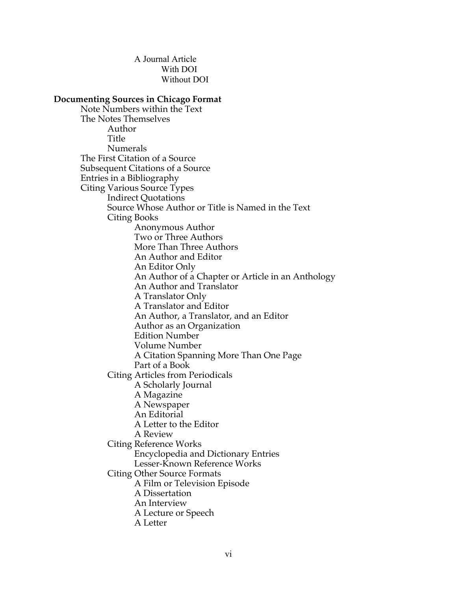A Journal Article With DOI Without DOI

#### **Documenting Sources in Chicago Format**

Note Numbers within the Text The Notes Themselves Author Title Numerals The First Citation of a Source Subsequent Citations of a Source Entries in a Bibliography Citing Various Source Types Indirect Quotations Source Whose Author or Title is Named in the Text Citing Books Anonymous Author Two or Three Authors More Than Three Authors An Author and Editor An Editor Only An Author of a Chapter or Article in an Anthology An Author and Translator A Translator Only A Translator and Editor An Author, a Translator, and an Editor Author as an Organization Edition Number Volume Number A Citation Spanning More Than One Page Part of a Book Citing Articles from Periodicals A Scholarly Journal A Magazine A Newspaper An Editorial A Letter to the Editor A Review Citing Reference Works Encyclopedia and Dictionary Entries Lesser-Known Reference Works Citing Other Source Formats A Film or Television Episode A Dissertation An Interview A Lecture or Speech A Letter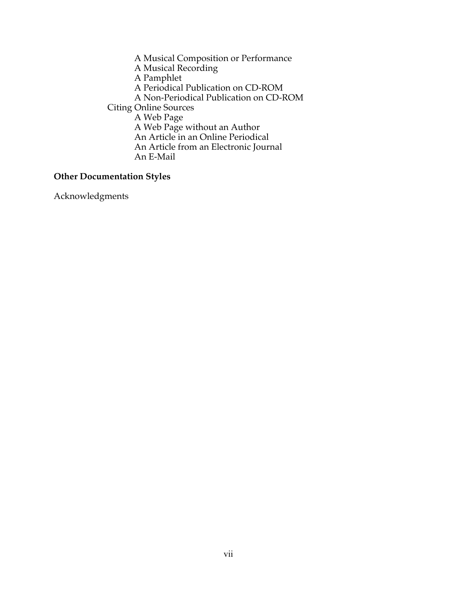A Musical Composition or Performance A Musical Recording A Pamphlet A Periodical Publication on CD-ROM A Non-Periodical Publication on CD-ROM Citing Online Sources A Web Page A Web Page without an Author An Article in an Online Periodical An Article from an Electronic Journal An E-Mail

#### **Other Documentation Styles**

Acknowledgments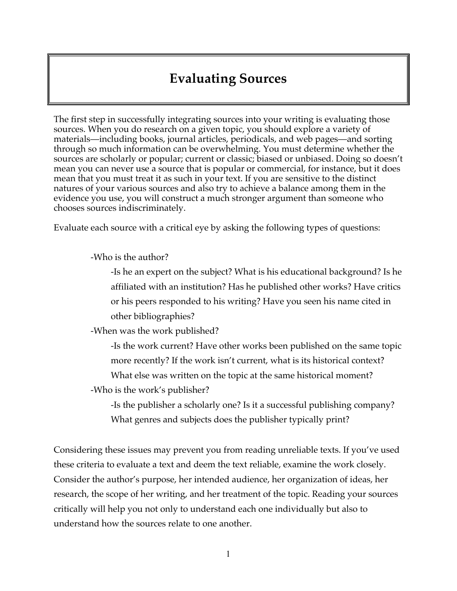## **Evaluating Sources**

The first step in successfully integrating sources into your writing is evaluating those sources. When you do research on a given topic, you should explore a variety of materials—including books, journal articles, periodicals, and web pages—and sorting through so much information can be overwhelming. You must determine whether the sources are scholarly or popular; current or classic; biased or unbiased. Doing so doesn't mean you can never use a source that is popular or commercial, for instance, but it does mean that you must treat it as such in your text. If you are sensitive to the distinct natures of your various sources and also try to achieve a balance among them in the evidence you use, you will construct a much stronger argument than someone who chooses sources indiscriminately.

Evaluate each source with a critical eye by asking the following types of questions:

-Who is the author?

-Is he an expert on the subject? What is his educational background? Is he affiliated with an institution? Has he published other works? Have critics or his peers responded to his writing? Have you seen his name cited in other bibliographies?

-When was the work published?

-Is the work current? Have other works been published on the same topic more recently? If the work isn't current, what is its historical context? What else was written on the topic at the same historical moment?

-Who is the work's publisher?

-Is the publisher a scholarly one? Is it a successful publishing company? What genres and subjects does the publisher typically print?

Considering these issues may prevent you from reading unreliable texts. If you've used these criteria to evaluate a text and deem the text reliable, examine the work closely. Consider the author's purpose, her intended audience, her organization of ideas, her research, the scope of her writing, and her treatment of the topic. Reading your sources critically will help you not only to understand each one individually but also to understand how the sources relate to one another.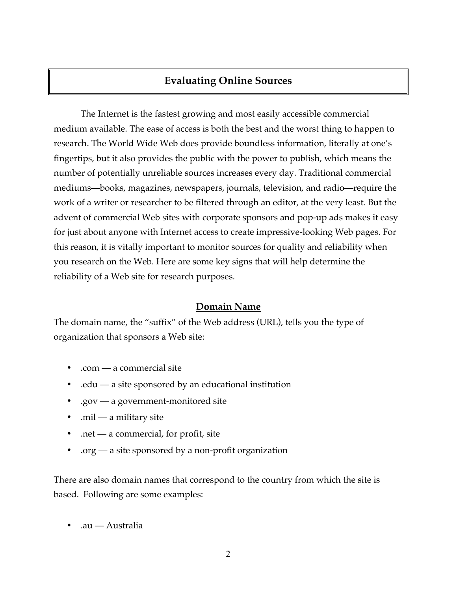### **Evaluating Online Sources**

The Internet is the fastest growing and most easily accessible commercial medium available. The ease of access is both the best and the worst thing to happen to research. The World Wide Web does provide boundless information, literally at one's fingertips, but it also provides the public with the power to publish, which means the number of potentially unreliable sources increases every day. Traditional commercial mediums—books, magazines, newspapers, journals, television, and radio—require the work of a writer or researcher to be filtered through an editor, at the very least. But the advent of commercial Web sites with corporate sponsors and pop-up ads makes it easy for just about anyone with Internet access to create impressive-looking Web pages. For this reason, it is vitally important to monitor sources for quality and reliability when you research on the Web. Here are some key signs that will help determine the reliability of a Web site for research purposes.

#### **Domain Name**

The domain name, the "suffix" of the Web address (URL), tells you the type of organization that sponsors a Web site:

- .com a commercial site
- .edu a site sponsored by an educational institution
- .gov a government-monitored site
- .mil a military site
- $net a$  commercial, for profit, site
- .org a site sponsored by a non-profit organization

There are also domain names that correspond to the country from which the site is based. Following are some examples:

• .au — Australia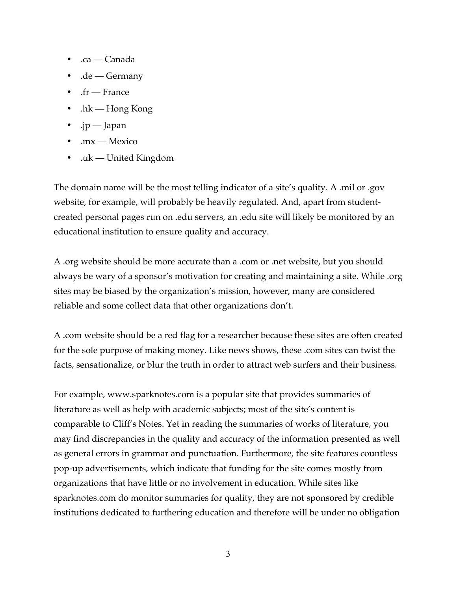- .ca Canada
- .de Germany
- .fr France
- .hk Hong Kong
- .jp Japan
- .mx Mexico
- .uk United Kingdom

The domain name will be the most telling indicator of a site's quality. A .mil or .gov website, for example, will probably be heavily regulated. And, apart from studentcreated personal pages run on .edu servers, an .edu site will likely be monitored by an educational institution to ensure quality and accuracy.

A .org website should be more accurate than a .com or .net website, but you should always be wary of a sponsor's motivation for creating and maintaining a site. While .org sites may be biased by the organization's mission, however, many are considered reliable and some collect data that other organizations don't.

A .com website should be a red flag for a researcher because these sites are often created for the sole purpose of making money. Like news shows, these .com sites can twist the facts, sensationalize, or blur the truth in order to attract web surfers and their business.

For example, www.sparknotes.com is a popular site that provides summaries of literature as well as help with academic subjects; most of the site's content is comparable to Cliff's Notes. Yet in reading the summaries of works of literature, you may find discrepancies in the quality and accuracy of the information presented as well as general errors in grammar and punctuation. Furthermore, the site features countless pop-up advertisements, which indicate that funding for the site comes mostly from organizations that have little or no involvement in education. While sites like sparknotes.com do monitor summaries for quality, they are not sponsored by credible institutions dedicated to furthering education and therefore will be under no obligation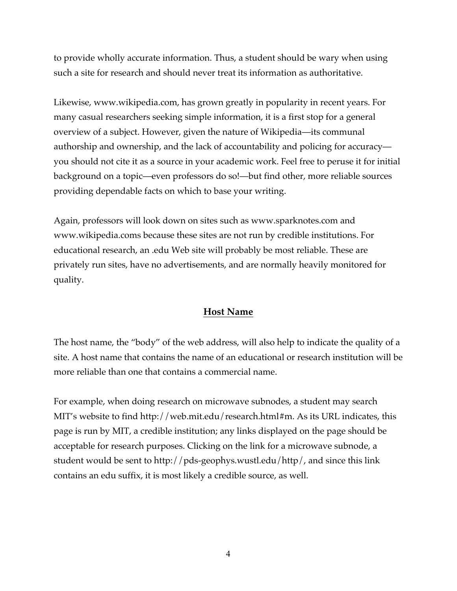to provide wholly accurate information. Thus, a student should be wary when using such a site for research and should never treat its information as authoritative.

Likewise, www.wikipedia.com, has grown greatly in popularity in recent years. For many casual researchers seeking simple information, it is a first stop for a general overview of a subject. However, given the nature of Wikipedia—its communal authorship and ownership, and the lack of accountability and policing for accuracy you should not cite it as a source in your academic work. Feel free to peruse it for initial background on a topic—even professors do so!—but find other, more reliable sources providing dependable facts on which to base your writing.

Again, professors will look down on sites such as www.sparknotes.com and www.wikipedia.coms because these sites are not run by credible institutions. For educational research, an .edu Web site will probably be most reliable. These are privately run sites, have no advertisements, and are normally heavily monitored for quality.

#### **Host Name**

The host name, the "body" of the web address, will also help to indicate the quality of a site. A host name that contains the name of an educational or research institution will be more reliable than one that contains a commercial name.

For example, when doing research on microwave subnodes, a student may search MIT's website to find http://web.mit.edu/research.html#m. As its URL indicates, this page is run by MIT, a credible institution; any links displayed on the page should be acceptable for research purposes. Clicking on the link for a microwave subnode, a student would be sent to http://pds-geophys.wustl.edu/http/, and since this link contains an edu suffix, it is most likely a credible source, as well.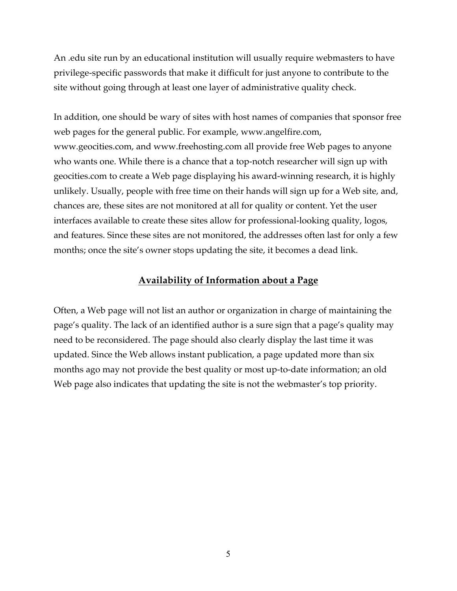An .edu site run by an educational institution will usually require webmasters to have privilege-specific passwords that make it difficult for just anyone to contribute to the site without going through at least one layer of administrative quality check.

In addition, one should be wary of sites with host names of companies that sponsor free web pages for the general public. For example, www.angelfire.com, www.geocities.com, and www.freehosting.com all provide free Web pages to anyone who wants one. While there is a chance that a top-notch researcher will sign up with geocities.com to create a Web page displaying his award-winning research, it is highly unlikely. Usually, people with free time on their hands will sign up for a Web site, and, chances are, these sites are not monitored at all for quality or content. Yet the user interfaces available to create these sites allow for professional-looking quality, logos, and features. Since these sites are not monitored, the addresses often last for only a few months; once the site's owner stops updating the site, it becomes a dead link.

#### **Availability of Information about a Page**

Often, a Web page will not list an author or organization in charge of maintaining the page's quality. The lack of an identified author is a sure sign that a page's quality may need to be reconsidered. The page should also clearly display the last time it was updated. Since the Web allows instant publication, a page updated more than six months ago may not provide the best quality or most up-to-date information; an old Web page also indicates that updating the site is not the webmaster's top priority.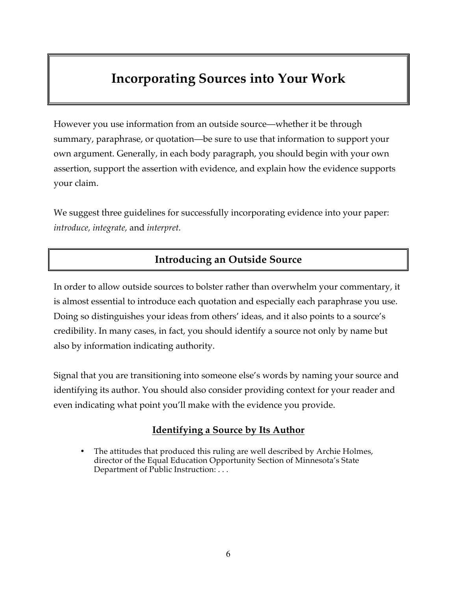## **Incorporating Sources into Your Work**

However you use information from an outside source—whether it be through summary, paraphrase, or quotation—be sure to use that information to support your own argument. Generally, in each body paragraph, you should begin with your own assertion, support the assertion with evidence, and explain how the evidence supports your claim.

We suggest three guidelines for successfully incorporating evidence into your paper: *introduce, integrate,* and *interpret.*

### **Introducing an Outside Source**

In order to allow outside sources to bolster rather than overwhelm your commentary, it is almost essential to introduce each quotation and especially each paraphrase you use. Doing so distinguishes your ideas from others' ideas, and it also points to a source's credibility. In many cases, in fact, you should identify a source not only by name but also by information indicating authority.

Signal that you are transitioning into someone else's words by naming your source and identifying its author. You should also consider providing context for your reader and even indicating what point you'll make with the evidence you provide.

### **Identifying a Source by Its Author**

The attitudes that produced this ruling are well described by Archie Holmes, director of the Equal Education Opportunity Section of Minnesota's State Department of Public Instruction: . . .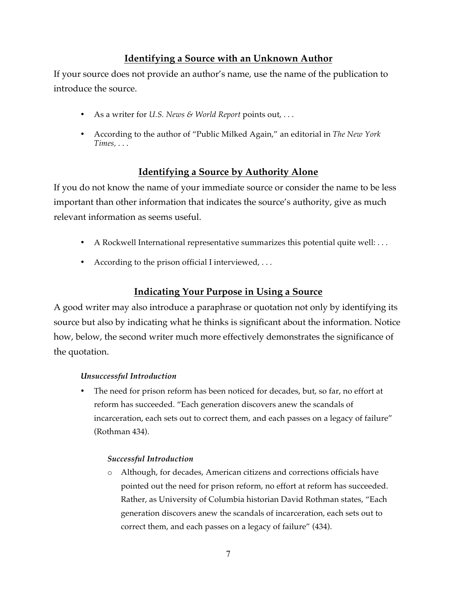### **Identifying a Source with an Unknown Author**

If your source does not provide an author's name, use the name of the publication to introduce the source.

- As a writer for *U.S. News & World Report* points out, . . .
- According to the author of "Public Milked Again," an editorial in *The New York Times,* . . .

### **Identifying a Source by Authority Alone**

If you do not know the name of your immediate source or consider the name to be less important than other information that indicates the source's authority, give as much relevant information as seems useful.

- A Rockwell International representative summarizes this potential quite well: . . .
- According to the prison official I interviewed, . . .

### **Indicating Your Purpose in Using a Source**

A good writer may also introduce a paraphrase or quotation not only by identifying its source but also by indicating what he thinks is significant about the information. Notice how, below, the second writer much more effectively demonstrates the significance of the quotation.

#### *Unsuccessful Introduction*

• The need for prison reform has been noticed for decades, but, so far, no effort at reform has succeeded. "Each generation discovers anew the scandals of incarceration, each sets out to correct them, and each passes on a legacy of failure" (Rothman 434).

#### *Successful Introduction*

o Although, for decades, American citizens and corrections officials have pointed out the need for prison reform, no effort at reform has succeeded. Rather, as University of Columbia historian David Rothman states, "Each generation discovers anew the scandals of incarceration, each sets out to correct them, and each passes on a legacy of failure" (434).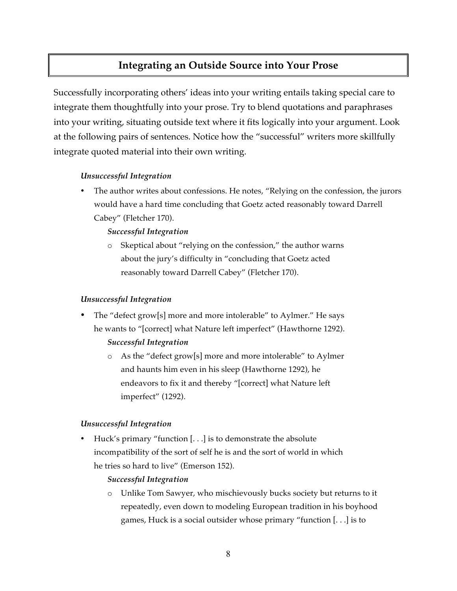### **Integrating an Outside Source into Your Prose**

Successfully incorporating others' ideas into your writing entails taking special care to integrate them thoughtfully into your prose. Try to blend quotations and paraphrases into your writing, situating outside text where it fits logically into your argument. Look at the following pairs of sentences. Notice how the "successful" writers more skillfully integrate quoted material into their own writing.

#### *Unsuccessful Integration*

• The author writes about confessions. He notes, "Relying on the confession, the jurors would have a hard time concluding that Goetz acted reasonably toward Darrell Cabey" (Fletcher 170).

#### *Successful Integration*

o Skeptical about "relying on the confession," the author warns about the jury's difficulty in "concluding that Goetz acted reasonably toward Darrell Cabey" (Fletcher 170).

#### *Unsuccessful Integration*

The "defect grow[s] more and more intolerable" to Aylmer." He says he wants to "[correct] what Nature left imperfect" (Hawthorne 1292).

#### *Successful Integration*

o As the "defect grow[s] more and more intolerable" to Aylmer and haunts him even in his sleep (Hawthorne 1292), he endeavors to fix it and thereby "[correct] what Nature left imperfect" (1292).

#### *Unsuccessful Integration*

• Huck's primary "function [. . .] is to demonstrate the absolute incompatibility of the sort of self he is and the sort of world in which he tries so hard to live" (Emerson 152).

#### *Successful Integration*

o Unlike Tom Sawyer, who mischievously bucks society but returns to it repeatedly, even down to modeling European tradition in his boyhood games, Huck is a social outsider whose primary "function [. . .] is to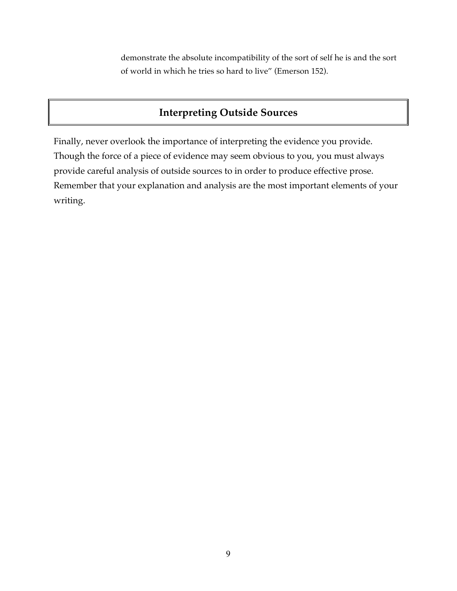demonstrate the absolute incompatibility of the sort of self he is and the sort of world in which he tries so hard to live" (Emerson 152).

### **Interpreting Outside Sources**

Finally, never overlook the importance of interpreting the evidence you provide. Though the force of a piece of evidence may seem obvious to you, you must always provide careful analysis of outside sources to in order to produce effective prose. Remember that your explanation and analysis are the most important elements of your writing.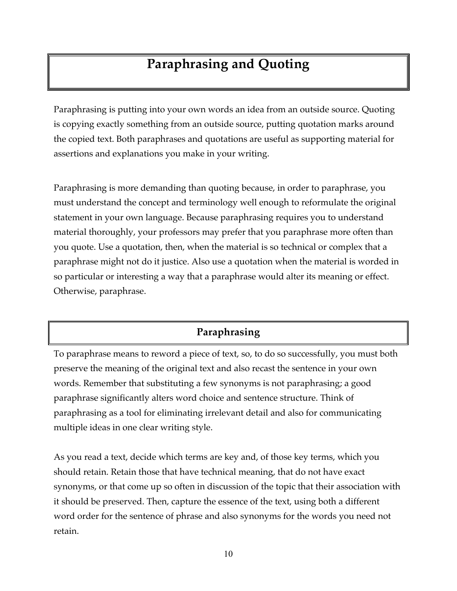## **Paraphrasing and Quoting**

Paraphrasing is putting into your own words an idea from an outside source. Quoting is copying exactly something from an outside source, putting quotation marks around the copied text. Both paraphrases and quotations are useful as supporting material for assertions and explanations you make in your writing.

Paraphrasing is more demanding than quoting because, in order to paraphrase, you must understand the concept and terminology well enough to reformulate the original statement in your own language. Because paraphrasing requires you to understand material thoroughly, your professors may prefer that you paraphrase more often than you quote. Use a quotation, then, when the material is so technical or complex that a paraphrase might not do it justice. Also use a quotation when the material is worded in so particular or interesting a way that a paraphrase would alter its meaning or effect. Otherwise, paraphrase.

### **Paraphrasing**

To paraphrase means to reword a piece of text, so, to do so successfully, you must both preserve the meaning of the original text and also recast the sentence in your own words. Remember that substituting a few synonyms is not paraphrasing; a good paraphrase significantly alters word choice and sentence structure. Think of paraphrasing as a tool for eliminating irrelevant detail and also for communicating multiple ideas in one clear writing style.

As you read a text, decide which terms are key and, of those key terms, which you should retain. Retain those that have technical meaning, that do not have exact synonyms, or that come up so often in discussion of the topic that their association with it should be preserved. Then, capture the essence of the text, using both a different word order for the sentence of phrase and also synonyms for the words you need not retain.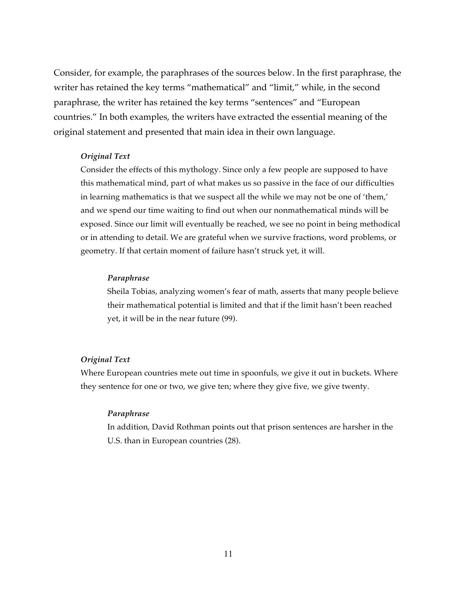Consider, for example, the paraphrases of the sources below. In the first paraphrase, the writer has retained the key terms "mathematical" and "limit," while, in the second paraphrase, the writer has retained the key terms "sentences" and "European countries." In both examples, the writers have extracted the essential meaning of the original statement and presented that main idea in their own language.

#### *Original Text*

Consider the effects of this mythology. Since only a few people are supposed to have this mathematical mind, part of what makes us so passive in the face of our difficulties in learning mathematics is that we suspect all the while we may not be one of 'them,' and we spend our time waiting to find out when our nonmathematical minds will be exposed. Since our limit will eventually be reached, we see no point in being methodical or in attending to detail. We are grateful when we survive fractions, word problems, or geometry. If that certain moment of failure hasn't struck yet, it will.

#### *Paraphrase*

Sheila Tobias, analyzing women's fear of math, asserts that many people believe their mathematical potential is limited and that if the limit hasn't been reached yet, it will be in the near future (99).

#### *Original Text*

Where European countries mete out time in spoonfuls, we give it out in buckets. Where they sentence for one or two, we give ten; where they give five, we give twenty.

#### *Paraphrase*

In addition, David Rothman points out that prison sentences are harsher in the U.S. than in European countries (28).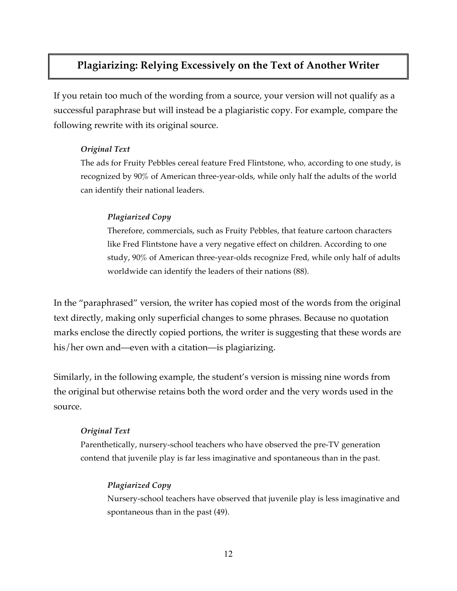### **Plagiarizing: Relying Excessively on the Text of Another Writer**

If you retain too much of the wording from a source, your version will not qualify as a successful paraphrase but will instead be a plagiaristic copy. For example, compare the following rewrite with its original source.

#### *Original Text*

The ads for Fruity Pebbles cereal feature Fred Flintstone, who*,* according to one study, is recognized by 90% of American three-year-olds, while only half the adults of the world can identify their national leaders.

#### *Plagiarized Copy*

Therefore, commercials, such as Fruity Pebbles, that feature cartoon characters like Fred Flintstone have a very negative effect on children. According to one study, 90% of American three-year-olds recognize Fred, while only half of adults worldwide can identify the leaders of their nations (88).

In the "paraphrased" version, the writer has copied most of the words from the original text directly, making only superficial changes to some phrases. Because no quotation marks enclose the directly copied portions, the writer is suggesting that these words are his/her own and—even with a citation—is plagiarizing.

Similarly, in the following example, the student's version is missing nine words from the original but otherwise retains both the word order and the very words used in the source.

#### *Original Text*

Parenthetically, nursery-school teachers who have observed the pre-TV generation contend that juvenile play is far less imaginative and spontaneous than in the past.

#### *Plagiarized Copy*

Nursery-school teachers have observed that juvenile play is less imaginative and spontaneous than in the past (49).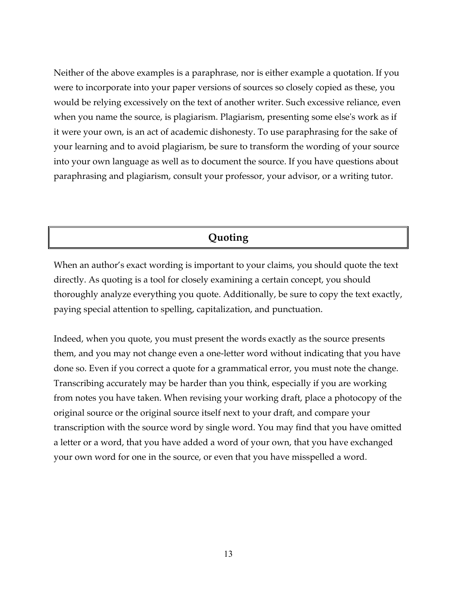Neither of the above examples is a paraphrase, nor is either example a quotation. If you were to incorporate into your paper versions of sources so closely copied as these, you would be relying excessively on the text of another writer. Such excessive reliance, even when you name the source, is plagiarism. Plagiarism, presenting some else's work as if it were your own, is an act of academic dishonesty. To use paraphrasing for the sake of your learning and to avoid plagiarism, be sure to transform the wording of your source into your own language as well as to document the source. If you have questions about paraphrasing and plagiarism, consult your professor, your advisor, or a writing tutor.

### **Quoting**

When an author's exact wording is important to your claims, you should quote the text directly. As quoting is a tool for closely examining a certain concept, you should thoroughly analyze everything you quote. Additionally, be sure to copy the text exactly, paying special attention to spelling, capitalization, and punctuation.

Indeed, when you quote, you must present the words exactly as the source presents them, and you may not change even a one-letter word without indicating that you have done so. Even if you correct a quote for a grammatical error, you must note the change. Transcribing accurately may be harder than you think, especially if you are working from notes you have taken. When revising your working draft, place a photocopy of the original source or the original source itself next to your draft, and compare your transcription with the source word by single word. You may find that you have omitted a letter or a word, that you have added a word of your own, that you have exchanged your own word for one in the source, or even that you have misspelled a word.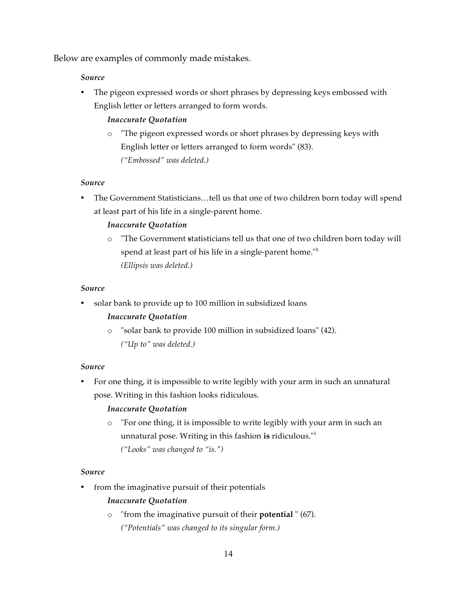Below are examples of commonly made mistakes.

#### *Source*

• The pigeon expressed words or short phrases by depressing keys embossed with English letter or letters arranged to form words.

#### *Inaccurate Quotation*

o "The pigeon expressed words or short phrases by depressing keys with English letter or letters arranged to form words" (83). *("Embossed" was deleted.)*

#### *Source*

• The Government Statisticians…tell us that one of two children born today will spend at least part of his life in a single-parent home.

#### *Inaccurate Quotation*

o "The Government **s**tatisticians tell us that one of two children born today will spend at least part of his life in a single-parent home."<sup>5</sup> *(Ellipsis was deleted.)*

#### *Source*

solar bank to provide up to 100 million in subsidized loans

#### *Inaccurate Quotation*

o "solar bank to provide 100 million in subsidized loans" (42). *("Up to" was deleted.)*

#### *Source*

• For one thing, it is impossible to write legibly with your arm in such an unnatural pose. Writing in this fashion looks ridiculous.

#### *Inaccurate Quotation*

o "For one thing, it is impossible to write legibly with your arm in such an unnatural pose. Writing in this fashion **is** ridiculous."<sup>1</sup> *("Looks" was changed to "is.")*

#### *Source*

from the imaginative pursuit of their potentials

#### *Inaccurate Quotation*

- o "from the imaginative pursuit of their **potential** " (67).
	- *("Potentials" was changed to its singular form.)*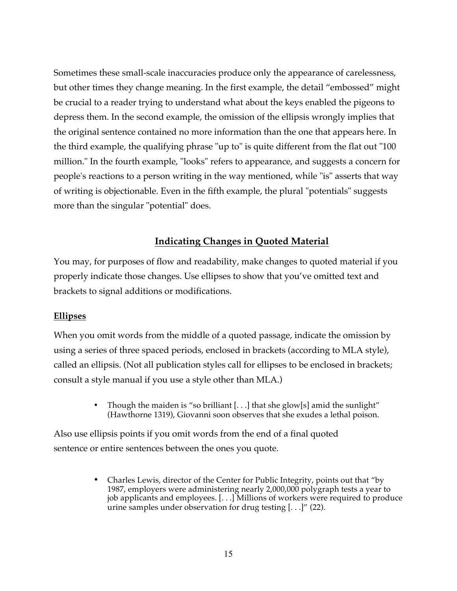Sometimes these small-scale inaccuracies produce only the appearance of carelessness, but other times they change meaning. In the first example, the detail "embossed" might be crucial to a reader trying to understand what about the keys enabled the pigeons to depress them. In the second example, the omission of the ellipsis wrongly implies that the original sentence contained no more information than the one that appears here. In the third example, the qualifying phrase "up to" is quite different from the flat out "100 million." In the fourth example, "looks" refers to appearance, and suggests a concern for people's reactions to a person writing in the way mentioned, while "is" asserts that way of writing is objectionable. Even in the fifth example, the plural "potentials" suggests more than the singular "potential" does.

#### **Indicating Changes in Quoted Material**

You may, for purposes of flow and readability, make changes to quoted material if you properly indicate those changes. Use ellipses to show that you've omitted text and brackets to signal additions or modifications.

#### **Ellipses**

When you omit words from the middle of a quoted passage, indicate the omission by using a series of three spaced periods, enclosed in brackets (according to MLA style), called an ellipsis. (Not all publication styles call for ellipses to be enclosed in brackets; consult a style manual if you use a style other than MLA.)

> • Though the maiden is "so brilliant  $[...]$  that she glow[s] amid the sunlight" (Hawthorne 1319), Giovanni soon observes that she exudes a lethal poison.

Also use ellipsis points if you omit words from the end of a final quoted sentence or entire sentences between the ones you quote.

> • Charles Lewis, director of the Center for Public Integrity, points out that "by 1987, employers were administering nearly 2,000,000 polygraph tests a year to job applicants and employees. [. . .] Millions of workers were required to produce urine samples under observation for drug testing [. . .]" (22).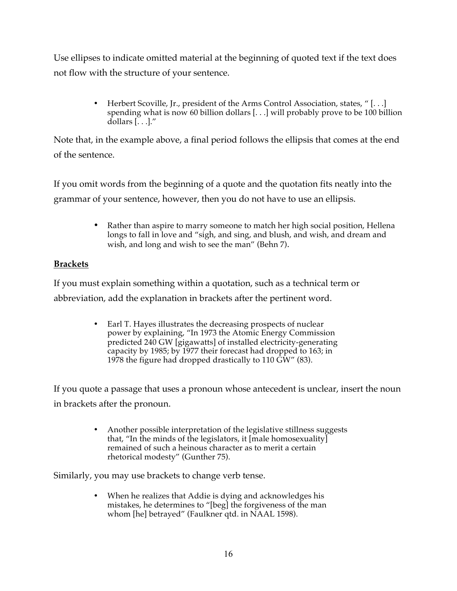Use ellipses to indicate omitted material at the beginning of quoted text if the text does not flow with the structure of your sentence.

> • Herbert Scoville, Jr., president of the Arms Control Association, states, "[...] spending what is now 60 billion dollars [. . .] will probably prove to be 100 billion dollars [. . .]."

Note that, in the example above, a final period follows the ellipsis that comes at the end of the sentence.

If you omit words from the beginning of a quote and the quotation fits neatly into the grammar of your sentence, however, then you do not have to use an ellipsis.

> • Rather than aspire to marry someone to match her high social position, Hellena longs to fall in love and "sigh, and sing, and blush, and wish, and dream and wish, and long and wish to see the man" (Behn 7).

#### **Brackets**

If you must explain something within a quotation, such as a technical term or abbreviation, add the explanation in brackets after the pertinent word.

> • Earl T. Hayes illustrates the decreasing prospects of nuclear power by explaining, "In 1973 the Atomic Energy Commission predicted 240 GW [gigawatts] of installed electricity-generating capacity by 1985; by 1977 their forecast had dropped to 163; in 1978 the figure had dropped drastically to 110  $\tilde{GW}$ " (83).

If you quote a passage that uses a pronoun whose antecedent is unclear, insert the noun in brackets after the pronoun.

> • Another possible interpretation of the legislative stillness suggests that, "In the minds of the legislators, it [male homosexuality] remained of such a heinous character as to merit a certain rhetorical modesty" (Gunther 75).

Similarly, you may use brackets to change verb tense.

• When he realizes that Addie is dying and acknowledges his mistakes, he determines to "[beg] the forgiveness of the man whom [he] betrayed" (Faulkner qtd. in NAAL 1598).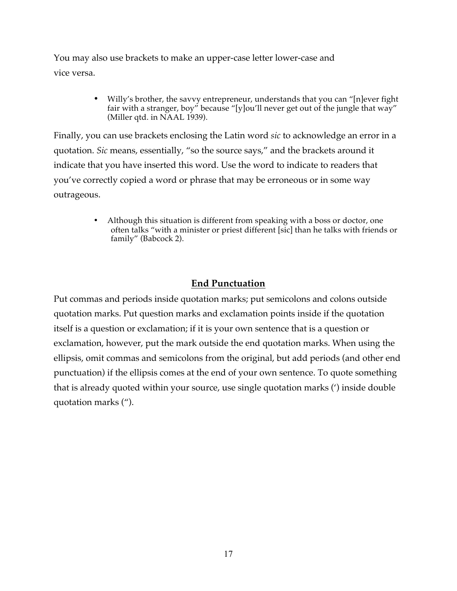You may also use brackets to make an upper-case letter lower-case and vice versa.

> • Willy's brother, the savvy entrepreneur, understands that you can "[n]ever fight fair with a stranger, boy" because "[y]ou'll never get out of the jungle that way" (Miller qtd. in NAAL 1939).

Finally, you can use brackets enclosing the Latin word *sic* to acknowledge an error in a quotation. *Sic* means, essentially, "so the source says," and the brackets around it indicate that you have inserted this word. Use the word to indicate to readers that you've correctly copied a word or phrase that may be erroneous or in some way outrageous.

> • Although this situation is different from speaking with a boss or doctor, one often talks "with a minister or priest different [sic] than he talks with friends or family" (Babcock 2).

### **End Punctuation**

Put commas and periods inside quotation marks; put semicolons and colons outside quotation marks. Put question marks and exclamation points inside if the quotation itself is a question or exclamation; if it is your own sentence that is a question or exclamation, however, put the mark outside the end quotation marks. When using the ellipsis, omit commas and semicolons from the original, but add periods (and other end punctuation) if the ellipsis comes at the end of your own sentence. To quote something that is already quoted within your source, use single quotation marks (') inside double quotation marks (").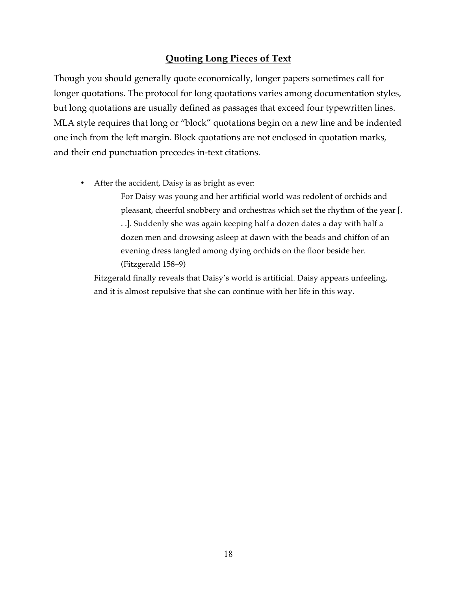### **Quoting Long Pieces of Text**

Though you should generally quote economically, longer papers sometimes call for longer quotations. The protocol for long quotations varies among documentation styles, but long quotations are usually defined as passages that exceed four typewritten lines. MLA style requires that long or "block" quotations begin on a new line and be indented one inch from the left margin. Block quotations are not enclosed in quotation marks, and their end punctuation precedes in-text citations.

• After the accident, Daisy is as bright as ever:

For Daisy was young and her artificial world was redolent of orchids and pleasant, cheerful snobbery and orchestras which set the rhythm of the year [. . .]. Suddenly she was again keeping half a dozen dates a day with half a dozen men and drowsing asleep at dawn with the beads and chiffon of an evening dress tangled among dying orchids on the floor beside her. (Fitzgerald 158–9)

Fitzgerald finally reveals that Daisy's world is artificial. Daisy appears unfeeling, and it is almost repulsive that she can continue with her life in this way.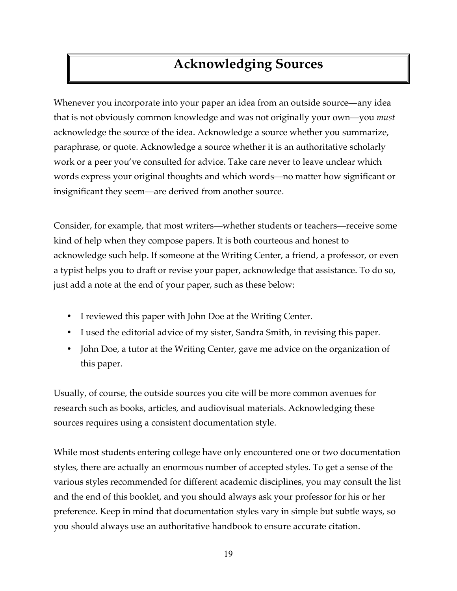## **Acknowledging Sources**

Whenever you incorporate into your paper an idea from an outside source—any idea that is not obviously common knowledge and was not originally your own—you *must*  acknowledge the source of the idea. Acknowledge a source whether you summarize, paraphrase, or quote. Acknowledge a source whether it is an authoritative scholarly work or a peer you've consulted for advice. Take care never to leave unclear which words express your original thoughts and which words—no matter how significant or insignificant they seem—are derived from another source.

Consider, for example, that most writers—whether students or teachers—receive some kind of help when they compose papers. It is both courteous and honest to acknowledge such help. If someone at the Writing Center, a friend, a professor, or even a typist helps you to draft or revise your paper, acknowledge that assistance. To do so, just add a note at the end of your paper, such as these below:

- I reviewed this paper with John Doe at the Writing Center.
- I used the editorial advice of my sister, Sandra Smith, in revising this paper.
- John Doe, a tutor at the Writing Center, gave me advice on the organization of this paper.

Usually, of course, the outside sources you cite will be more common avenues for research such as books, articles, and audiovisual materials. Acknowledging these sources requires using a consistent documentation style.

While most students entering college have only encountered one or two documentation styles, there are actually an enormous number of accepted styles. To get a sense of the various styles recommended for different academic disciplines, you may consult the list and the end of this booklet, and you should always ask your professor for his or her preference. Keep in mind that documentation styles vary in simple but subtle ways, so you should always use an authoritative handbook to ensure accurate citation.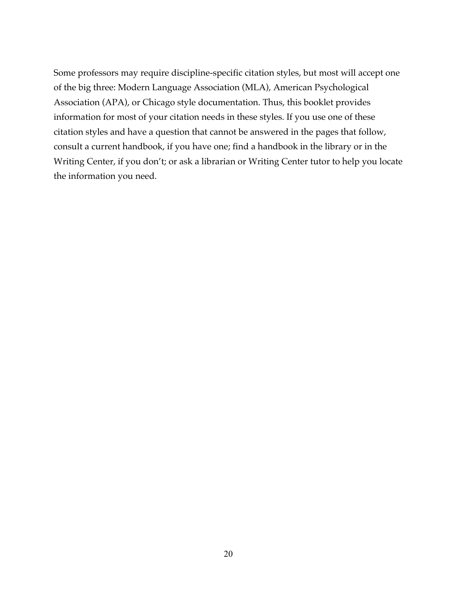Some professors may require discipline-specific citation styles, but most will accept one of the big three: Modern Language Association (MLA), American Psychological Association (APA), or Chicago style documentation. Thus, this booklet provides information for most of your citation needs in these styles. If you use one of these citation styles and have a question that cannot be answered in the pages that follow, consult a current handbook, if you have one; find a handbook in the library or in the Writing Center, if you don't; or ask a librarian or Writing Center tutor to help you locate the information you need.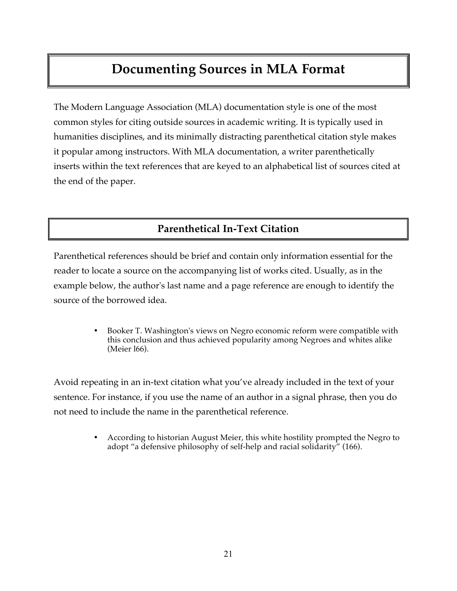## **Documenting Sources in MLA Format**

The Modern Language Association (MLA) documentation style is one of the most common styles for citing outside sources in academic writing. It is typically used in humanities disciplines, and its minimally distracting parenthetical citation style makes it popular among instructors. With MLA documentation, a writer parenthetically inserts within the text references that are keyed to an alphabetical list of sources cited at the end of the paper.

### **Parenthetical In-Text Citation**

Parenthetical references should be brief and contain only information essential for the reader to locate a source on the accompanying list of works cited. Usually, as in the example below, the author's last name and a page reference are enough to identify the source of the borrowed idea.

> • Booker T. Washington's views on Negro economic reform were compatible with this conclusion and thus achieved popularity among Negroes and whites alike (Meier l66).

Avoid repeating in an in-text citation what you've already included in the text of your sentence. For instance, if you use the name of an author in a signal phrase, then you do not need to include the name in the parenthetical reference.

> • According to historian August Meier, this white hostility prompted the Negro to adopt "a defensive philosophy of self-help and racial solidarity" (166).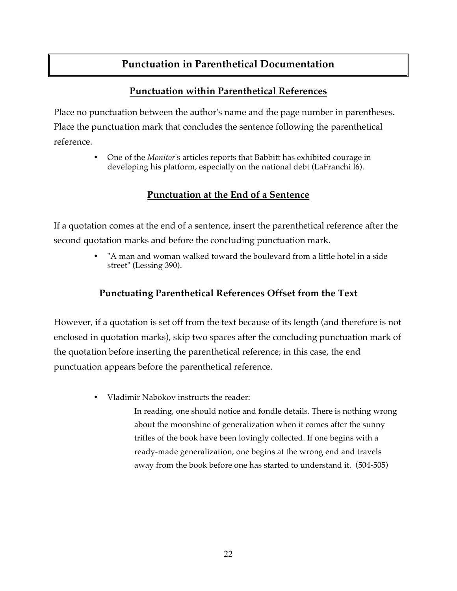### **Punctuation in Parenthetical Documentation**

### **Punctuation within Parenthetical References**

Place no punctuation between the author's name and the page number in parentheses. Place the punctuation mark that concludes the sentence following the parenthetical reference.

> • One of the *Monitor*'s articles reports that Babbitt has exhibited courage in developing his platform, especially on the national debt (LaFranchi l6).

### **Punctuation at the End of a Sentence**

If a quotation comes at the end of a sentence, insert the parenthetical reference after the second quotation marks and before the concluding punctuation mark.

> • "A man and woman walked toward the boulevard from a little hotel in a side street" (Lessing 390).

### **Punctuating Parenthetical References Offset from the Text**

However, if a quotation is set off from the text because of its length (and therefore is not enclosed in quotation marks), skip two spaces after the concluding punctuation mark of the quotation before inserting the parenthetical reference; in this case, the end punctuation appears before the parenthetical reference.

• Vladimir Nabokov instructs the reader:

In reading, one should notice and fondle details. There is nothing wrong about the moonshine of generalization when it comes after the sunny trifles of the book have been lovingly collected. If one begins with a ready-made generalization, one begins at the wrong end and travels away from the book before one has started to understand it. (504-505)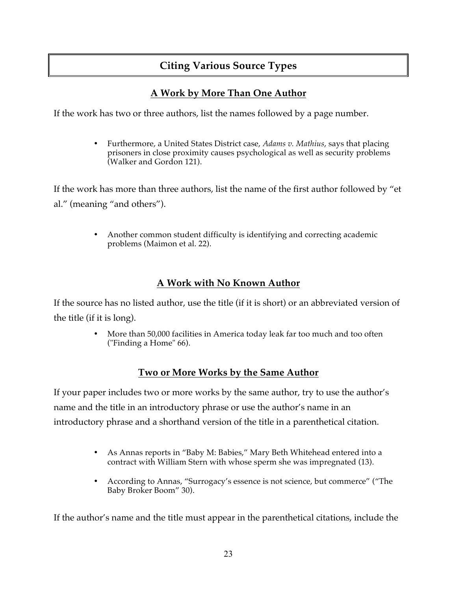### **Citing Various Source Types**

### **A Work by More Than One Author**

If the work has two or three authors, list the names followed by a page number.

• Furthermore, a United States District case, *Adams v. Mathius*, says that placing prisoners in close proximity causes psychological as well as security problems (Walker and Gordon 121).

If the work has more than three authors, list the name of the first author followed by "et al." (meaning "and others").

> • Another common student difficulty is identifying and correcting academic problems (Maimon et al. 22).

### **A Work with No Known Author**

If the source has no listed author, use the title (if it is short) or an abbreviated version of the title (if it is long).

> • More than 50,000 facilities in America today leak far too much and too often ("Finding a Home" 66).

### **Two or More Works by the Same Author**

If your paper includes two or more works by the same author, try to use the author's name and the title in an introductory phrase or use the author's name in an introductory phrase and a shorthand version of the title in a parenthetical citation.

- As Annas reports in "Baby M: Babies," Mary Beth Whitehead entered into a contract with William Stern with whose sperm she was impregnated (13).
- According to Annas, "Surrogacy's essence is not science, but commerce" ("The Baby Broker Boom" 30).

If the author's name and the title must appear in the parenthetical citations, include the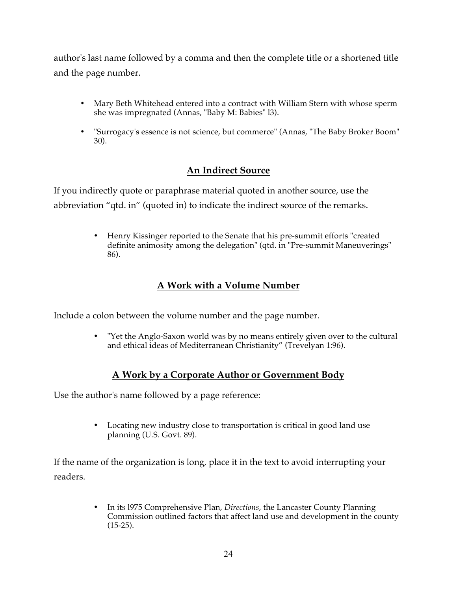author's last name followed by a comma and then the complete title or a shortened title and the page number.

- Mary Beth Whitehead entered into a contract with William Stern with whose sperm she was impregnated (Annas, "Baby M: Babies" l3).
- "Surrogacy's essence is not science, but commerce" (Annas, "The Baby Broker Boom" 30).

### **An Indirect Source**

If you indirectly quote or paraphrase material quoted in another source, use the abbreviation "qtd. in" (quoted in) to indicate the indirect source of the remarks.

> • Henry Kissinger reported to the Senate that his pre-summit efforts "created definite animosity among the delegation" (qtd. in "Pre-summit Maneuverings" 86).

### **A Work with a Volume Number**

Include a colon between the volume number and the page number.

• "Yet the Anglo-Saxon world was by no means entirely given over to the cultural and ethical ideas of Mediterranean Christianity" (Trevelyan 1:96).

### **A Work by a Corporate Author or Government Body**

Use the author's name followed by a page reference:

• Locating new industry close to transportation is critical in good land use planning (U.S. Govt. 89).

If the name of the organization is long, place it in the text to avoid interrupting your readers.

> • In its l975 Comprehensive Plan, *Directions*, the Lancaster County Planning Commission outlined factors that affect land use and development in the county  $(15-25)$ .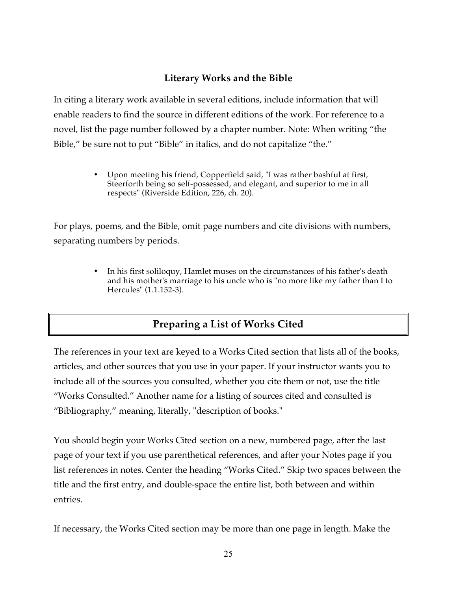### **Literary Works and the Bible**

In citing a literary work available in several editions, include information that will enable readers to find the source in different editions of the work. For reference to a novel, list the page number followed by a chapter number. Note: When writing "the Bible," be sure not to put "Bible" in italics, and do not capitalize "the."

> • Upon meeting his friend, Copperfield said, "I was rather bashful at first, Steerforth being so self-possessed, and elegant, and superior to me in all respects" (Riverside Edition, 226, ch. 20).

For plays, poems, and the Bible, omit page numbers and cite divisions with numbers, separating numbers by periods.

> • In his first soliloquy, Hamlet muses on the circumstances of his father's death and his mother's marriage to his uncle who is "no more like my father than I to Hercules" (1.1.152-3).

### **Preparing a List of Works Cited**

The references in your text are keyed to a Works Cited section that lists all of the books, articles, and other sources that you use in your paper. If your instructor wants you to include all of the sources you consulted, whether you cite them or not, use the title "Works Consulted." Another name for a listing of sources cited and consulted is "Bibliography," meaning, literally, "description of books."

You should begin your Works Cited section on a new, numbered page, after the last page of your text if you use parenthetical references, and after your Notes page if you list references in notes. Center the heading "Works Cited." Skip two spaces between the title and the first entry, and double-space the entire list, both between and within entries.

If necessary, the Works Cited section may be more than one page in length. Make the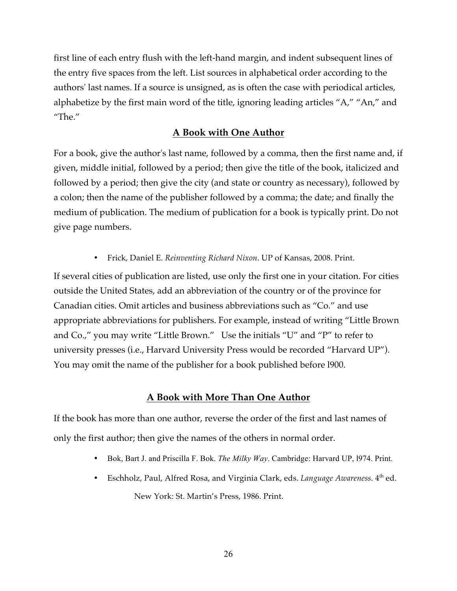first line of each entry flush with the left-hand margin, and indent subsequent lines of the entry five spaces from the left. List sources in alphabetical order according to the authors' last names. If a source is unsigned, as is often the case with periodical articles, alphabetize by the first main word of the title, ignoring leading articles "A," "An," and "The."

### **A Book with One Author**

For a book, give the author's last name, followed by a comma, then the first name and, if given, middle initial, followed by a period; then give the title of the book, italicized and followed by a period; then give the city (and state or country as necessary), followed by a colon; then the name of the publisher followed by a comma; the date; and finally the medium of publication. The medium of publication for a book is typically print. Do not give page numbers.

• Frick, Daniel E. *Reinventing Richard Nixon*. UP of Kansas, 2008. Print.

If several cities of publication are listed, use only the first one in your citation. For cities outside the United States, add an abbreviation of the country or of the province for Canadian cities. Omit articles and business abbreviations such as "Co." and use appropriate abbreviations for publishers. For example, instead of writing "Little Brown and Co.," you may write "Little Brown." Use the initials "U" and "P" to refer to university presses (i.e., Harvard University Press would be recorded "Harvard UP"). You may omit the name of the publisher for a book published before l900.

### **A Book with More Than One Author**

If the book has more than one author, reverse the order of the first and last names of only the first author; then give the names of the others in normal order.

- Bok, Bart J. and Priscilla F. Bok. *The Milky Way*. Cambridge: Harvard UP, l974. Print.
- Eschholz, Paul, Alfred Rosa, and Virginia Clark, eds. *Language Awareness*. 4<sup>th</sup> ed. New York: St. Martin's Press, 1986. Print.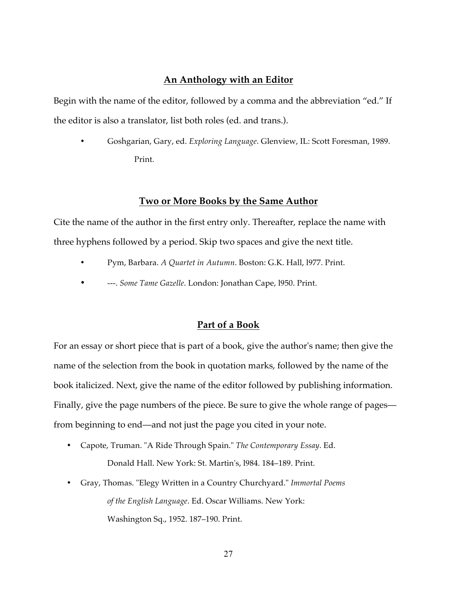#### **An Anthology with an Editor**

Begin with the name of the editor, followed by a comma and the abbreviation "ed." If the editor is also a translator, list both roles (ed. and trans.).

• Goshgarian, Gary, ed. *Exploring Language*. Glenview, IL: Scott Foresman, 1989. Print.

#### **Two or More Books by the Same Author**

Cite the name of the author in the first entry only. Thereafter, replace the name with three hyphens followed by a period. Skip two spaces and give the next title.

- Pym, Barbara. *A Quartet in Autumn*. Boston: G.K. Hall, l977. Print.
- ---. *Some Tame Gazelle*. London: Jonathan Cape, l950. Print.

#### **Part of a Book**

For an essay or short piece that is part of a book, give the author's name; then give the name of the selection from the book in quotation marks, followed by the name of the book italicized. Next, give the name of the editor followed by publishing information. Finally, give the page numbers of the piece. Be sure to give the whole range of pages from beginning to end—and not just the page you cited in your note.

- Capote, Truman. "A Ride Through Spain." *The Contemporary Essay*. Ed. Donald Hall. New York: St. Martin's, l984. 184–189. Print.
- Gray, Thomas. "Elegy Written in a Country Churchyard." *Immortal Poems of the English Language*. Ed. Oscar Williams. New York: Washington Sq., 1952. 187–190. Print.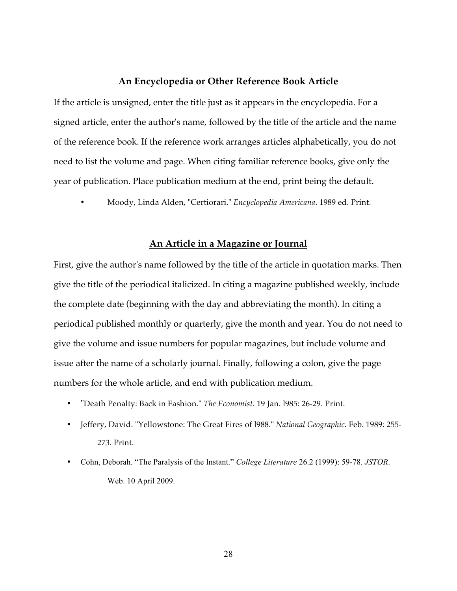#### **An Encyclopedia or Other Reference Book Article**

If the article is unsigned, enter the title just as it appears in the encyclopedia. For a signed article, enter the author's name, followed by the title of the article and the name of the reference book. If the reference work arranges articles alphabetically, you do not need to list the volume and page. When citing familiar reference books, give only the year of publication. Place publication medium at the end, print being the default.

• Moody, Linda Alden, "Certiorari." *Encyclopedia Americana*. 1989 ed. Print.

#### **An Article in a Magazine or Journal**

First, give the author's name followed by the title of the article in quotation marks. Then give the title of the periodical italicized. In citing a magazine published weekly, include the complete date (beginning with the day and abbreviating the month). In citing a periodical published monthly or quarterly, give the month and year. You do not need to give the volume and issue numbers for popular magazines, but include volume and issue after the name of a scholarly journal. Finally, following a colon, give the page numbers for the whole article, and end with publication medium.

- "Death Penalty: Back in Fashion." *The Economist*. 19 Jan. l985: 26-29. Print.
- Jeffery, David. "Yellowstone: The Great Fires of l988." *National Geographic.* Feb. 1989: 255- 273. Print.
- Cohn, Deborah. "The Paralysis of the Instant." *College Literature* 26.2 (1999): 59-78. *JSTOR*. Web. 10 April 2009.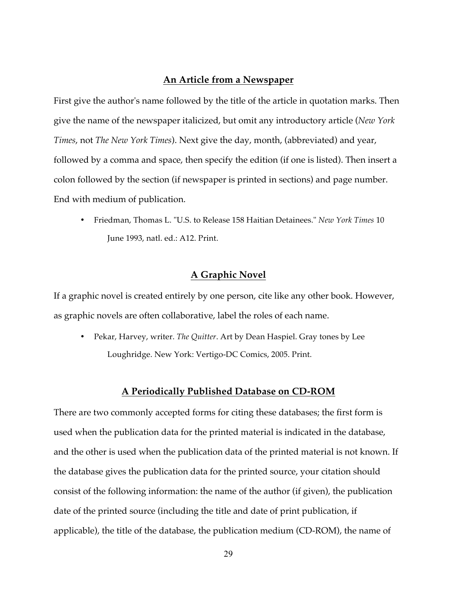#### **An Article from a Newspaper**

First give the author's name followed by the title of the article in quotation marks. Then give the name of the newspaper italicized, but omit any introductory article (*New York Times*, not *The New York Times*). Next give the day, month, (abbreviated) and year, followed by a comma and space, then specify the edition (if one is listed). Then insert a colon followed by the section (if newspaper is printed in sections) and page number. End with medium of publication.

• Friedman, Thomas L. "U.S. to Release 158 Haitian Detainees." *New York Times* 10 June 1993, natl. ed.: A12. Print.

#### **A Graphic Novel**

If a graphic novel is created entirely by one person, cite like any other book. However, as graphic novels are often collaborative, label the roles of each name.

• Pekar, Harvey, writer. *The Quitter*. Art by Dean Haspiel. Gray tones by Lee Loughridge. New York: Vertigo-DC Comics, 2005. Print.

#### **A Periodically Published Database on CD-ROM**

There are two commonly accepted forms for citing these databases; the first form is used when the publication data for the printed material is indicated in the database, and the other is used when the publication data of the printed material is not known. If the database gives the publication data for the printed source, your citation should consist of the following information: the name of the author (if given), the publication date of the printed source (including the title and date of print publication, if applicable), the title of the database, the publication medium (CD-ROM), the name of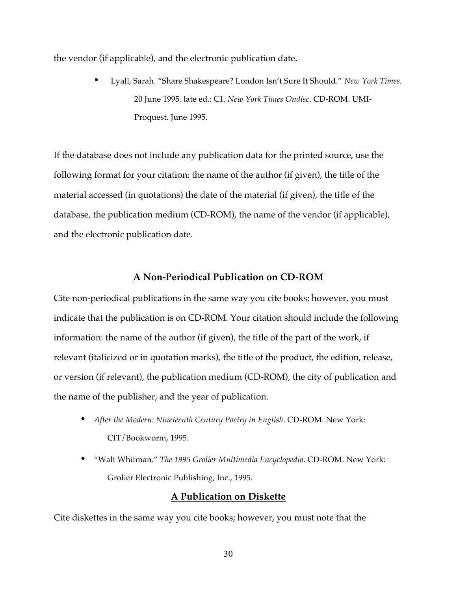the vendor (if applicable), and the electronic publication date.

• Lyall, Sarah. "Share Shakespeare? London Isn't Sure It Should." *New York Times.* 20 June 1995. late ed.: C1. *New York Times Ondisc*. CD-ROM. UMI-Proquest. June 1995.

If the database does not include any publication data for the printed source, use the following format for your citation: the name of the author (if given), the title of the material accessed (in quotations) the date of the material (if given), the title of the database, the publication medium (CD-ROM), the name of the vendor (if applicable), and the electronic publication date.

#### **A Non-Periodical Publication on CD-ROM**

Cite non-periodical publications in the same way you cite books; however, you must indicate that the publication is on CD-ROM. Your citation should include the following information: the name of the author (if given), the title of the part of the work, if relevant (italicized or in quotation marks), the title of the product, the edition, release, or version (if relevant), the publication medium (CD-ROM), the city of publication and the name of the publisher, and the year of publication.

- *After the Modern: Nineteenth Century Poetry in English*. CD-ROM. New York: CIT/Bookworm, 1995.
- "Walt Whitman." *The 1995 Grolier Multimedia Encyclopedia*. CD-ROM. New York: Grolier Electronic Publishing, Inc., 1995.

#### **A Publication on Diskette**

Cite diskettes in the same way you cite books; however, you must note that the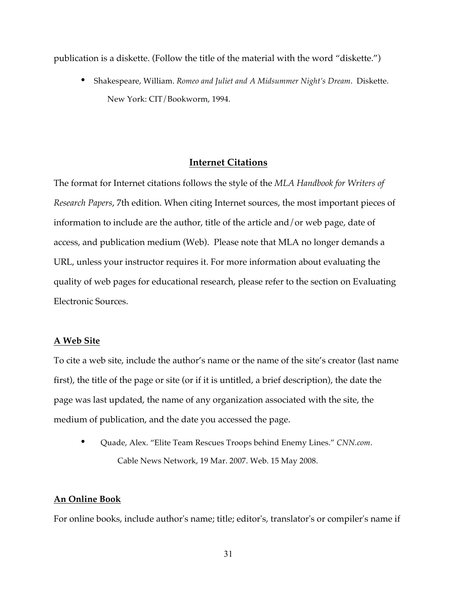publication is a diskette. (Follow the title of the material with the word "diskette.")

• Shakespeare, William. *Romeo and Juliet and A Midsummer Night's Dream*. Diskette. New York: CIT/Bookworm, 1994.

#### **Internet Citations**

The format for Internet citations follows the style of the *MLA Handbook for Writers of Research Papers*, 7th edition. When citing Internet sources, the most important pieces of information to include are the author, title of the article and/or web page, date of access, and publication medium (Web). Please note that MLA no longer demands a URL, unless your instructor requires it. For more information about evaluating the quality of web pages for educational research, please refer to the section on Evaluating Electronic Sources.

#### **A Web Site**

To cite a web site, include the author's name or the name of the site's creator (last name first), the title of the page or site (or if it is untitled, a brief description), the date the page was last updated, the name of any organization associated with the site, the medium of publication, and the date you accessed the page.

• Quade, Alex. "Elite Team Rescues Troops behind Enemy Lines." *CNN.com*. Cable News Network, 19 Mar. 2007. Web. 15 May 2008.

#### **An Online Book**

For online books, include author's name; title; editor's, translator's or compiler's name if

31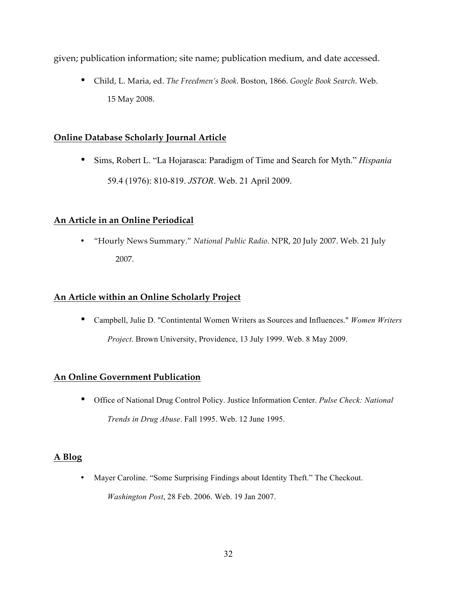given; publication information; site name; publication medium, and date accessed.

• Child, L. Maria, ed. *The Freedmen's Book*. Boston, 1866. *Google Book Search*. Web. 15 May 2008.

#### **Online Database Scholarly Journal Article**

• Sims, Robert L. "La Hojarasca: Paradigm of Time and Search for Myth." *Hispania* 59.4 (1976): 810-819. *JSTOR*. Web. 21 April 2009.

#### **An Article in an Online Periodical**

• "Hourly News Summary." *National Public Radio*. NPR, 20 July 2007. Web. 21 July 2007.

#### **An Article within an Online Scholarly Project**

• Campbell, Julie D. "Contintental Women Writers as Sources and Influences." *Women Writers Project*. Brown University, Providence, 13 July 1999. Web. 8 May 2009.

#### **An Online Government Publication**

• Office of National Drug Control Policy. Justice Information Center. *Pulse Check: National Trends in Drug Abuse*. Fall 1995. Web. 12 June 1995.

#### **A Blog**

• Mayer Caroline. "Some Surprising Findings about Identity Theft." The Checkout. *Washington Post*, 28 Feb. 2006. Web. 19 Jan 2007.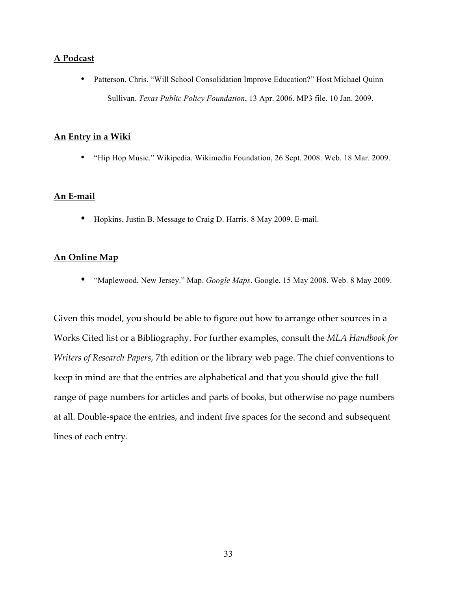#### **A Podcast**

• Patterson, Chris. "Will School Consolidation Improve Education?" Host Michael Quinn Sullivan. *Texas Public Policy Foundation*, 13 Apr. 2006. MP3 file. 10 Jan. 2009.

#### **An Entry in a Wiki**

• "Hip Hop Music." Wikipedia. Wikimedia Foundation, 26 Sept. 2008. Web. 18 Mar. 2009.

#### **An E-mail**

• Hopkins, Justin B. Message to Craig D. Harris. 8 May 2009. E-mail.

#### **An Online Map**

• "Maplewood, New Jersey." Map. *Google Maps*. Google, 15 May 2008. Web. 8 May 2009.

Given this model, you should be able to figure out how to arrange other sources in a Works Cited list or a Bibliography. For further examples, consult the *MLA Handbook for Writers of Research Papers,* 7th edition or the library web page. The chief conventions to keep in mind are that the entries are alphabetical and that you should give the full range of page numbers for articles and parts of books, but otherwise no page numbers at all. Double-space the entries, and indent five spaces for the second and subsequent lines of each entry.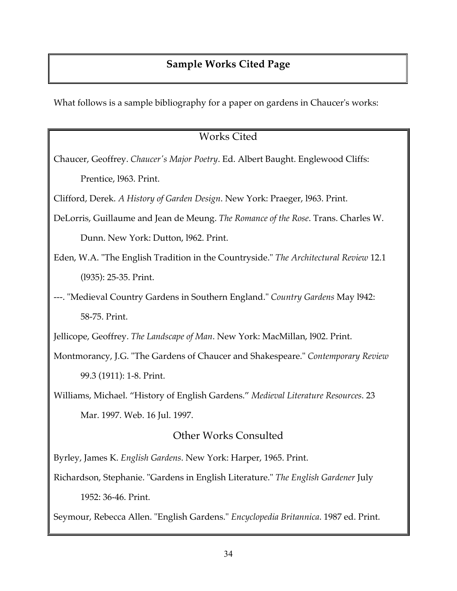### **Sample Works Cited Page**

What follows is a sample bibliography for a paper on gardens in Chaucer's works:

### Works Cited

Chaucer, Geoffrey. *Chaucer's Major Poetry*. Ed. Albert Baught. Englewood Cliffs: Prentice, l963. Print.

Clifford, Derek. *A History of Garden Design*. New York: Praeger, l963. Print.

- DeLorris, Guillaume and Jean de Meung. *The Romance of the Rose*. Trans. Charles W. Dunn. New York: Dutton, l962. Print.
- Eden, W.A. "The English Tradition in the Countryside." *The Architectural Review* 12.1 (l935): 25-35. Print.
- ---. "Medieval Country Gardens in Southern England." *Country Gardens* May l942: 58-75. Print.

Jellicope, Geoffrey. *The Landscape of Man*. New York: MacMillan, l902. Print.

Montmorancy, J.G. "The Gardens of Chaucer and Shakespeare." *Contemporary Review* 99.3 (1911): 1-8. Print.

Williams, Michael. "History of English Gardens." *Medieval Literature Resources*. 23 Mar. 1997. Web. 16 Jul. 1997.

### Other Works Consulted

Byrley, James K. *English Gardens*. New York: Harper, 1965. Print.

Richardson, Stephanie. "Gardens in English Literature." *The English Gardener* July 1952: 36-46. Print.

Seymour, Rebecca Allen. "English Gardens." *Encyclopedia Britannica*. 1987 ed. Print.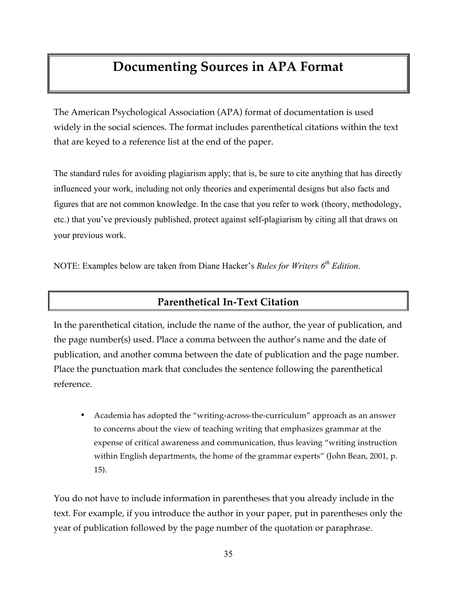## **Documenting Sources in APA Format**

The American Psychological Association (APA) format of documentation is used widely in the social sciences. The format includes parenthetical citations within the text that are keyed to a reference list at the end of the paper.

The standard rules for avoiding plagiarism apply; that is, be sure to cite anything that has directly influenced your work, including not only theories and experimental designs but also facts and figures that are not common knowledge. In the case that you refer to work (theory, methodology, etc.) that you've previously published, protect against self-plagiarism by citing all that draws on your previous work.

NOTE: Examples below are taken from Diane Hacker's *Rules for Writers 6<sup>th</sup> Edition*.

### **Parenthetical In-Text Citation**

In the parenthetical citation, include the name of the author, the year of publication, and the page number(s) used. Place a comma between the author's name and the date of publication, and another comma between the date of publication and the page number. Place the punctuation mark that concludes the sentence following the parenthetical reference.

• Academia has adopted the "writing-across-the-curriculum" approach as an answer to concerns about the view of teaching writing that emphasizes grammar at the expense of critical awareness and communication, thus leaving "writing instruction within English departments, the home of the grammar experts" (John Bean, 2001, p. 15).

You do not have to include information in parentheses that you already include in the text. For example, if you introduce the author in your paper, put in parentheses only the year of publication followed by the page number of the quotation or paraphrase.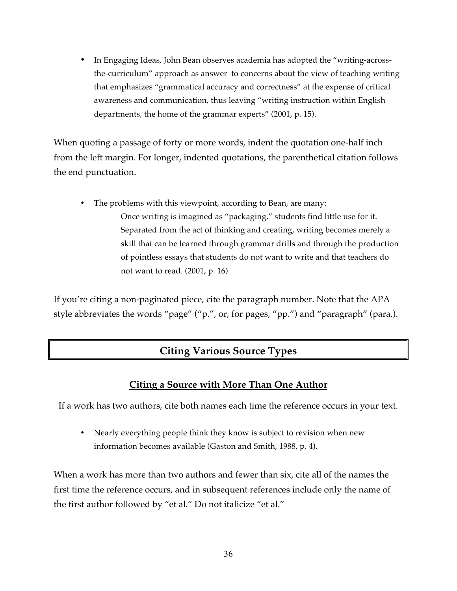• In Engaging Ideas, John Bean observes academia has adopted the "writing-acrossthe-curriculum" approach as answer to concerns about the view of teaching writing that emphasizes "grammatical accuracy and correctness" at the expense of critical awareness and communication, thus leaving "writing instruction within English departments, the home of the grammar experts" (2001, p. 15).

When quoting a passage of forty or more words, indent the quotation one-half inch from the left margin. For longer, indented quotations, the parenthetical citation follows the end punctuation.

• The problems with this viewpoint, according to Bean, are many: Once writing is imagined as "packaging," students find little use for it. Separated from the act of thinking and creating, writing becomes merely a skill that can be learned through grammar drills and through the production of pointless essays that students do not want to write and that teachers do not want to read. (2001, p. 16)

If you're citing a non-paginated piece, cite the paragraph number. Note that the APA style abbreviates the words "page" ("p.", or, for pages, "pp.") and "paragraph" (para.).

### **Citing Various Source Types**

### **Citing a Source with More Than One Author**

If a work has two authors, cite both names each time the reference occurs in your text.

• Nearly everything people think they know is subject to revision when new information becomes available (Gaston and Smith, 1988, p. 4).

When a work has more than two authors and fewer than six, cite all of the names the first time the reference occurs, and in subsequent references include only the name of the first author followed by "et al." Do not italicize "et al."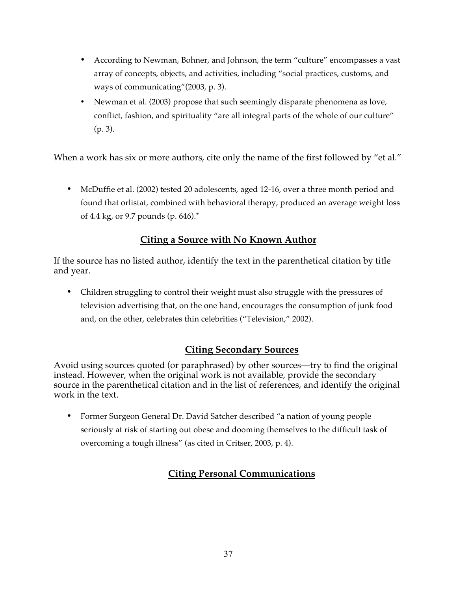- According to Newman, Bohner, and Johnson, the term "culture" encompasses a vast array of concepts, objects, and activities, including "social practices, customs, and ways of communicating"(2003, p. 3).
- Newman et al. (2003) propose that such seemingly disparate phenomena as love, conflict, fashion, and spirituality "are all integral parts of the whole of our culture" (p. 3).

When a work has six or more authors, cite only the name of the first followed by "et al."

• McDuffie et al. (2002) tested 20 adolescents, aged 12-16, over a three month period and found that orlistat, combined with behavioral therapy, produced an average weight loss of 4.4 kg, or 9.7 pounds (p. 646).\*

### **Citing a Source with No Known Author**

If the source has no listed author, identify the text in the parenthetical citation by title and year.

• Children struggling to control their weight must also struggle with the pressures of television advertising that, on the one hand, encourages the consumption of junk food and, on the other, celebrates thin celebrities ("Television," 2002).

### **Citing Secondary Sources**

Avoid using sources quoted (or paraphrased) by other sources—try to find the original instead. However, when the original work is not available, provide the secondary source in the parenthetical citation and in the list of references, and identify the original work in the text.

• Former Surgeon General Dr. David Satcher described "a nation of young people seriously at risk of starting out obese and dooming themselves to the difficult task of overcoming a tough illness" (as cited in Critser, 2003, p. 4).

### **Citing Personal Communications**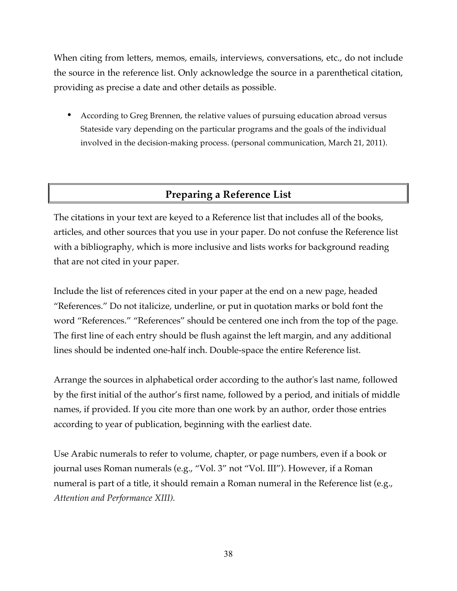When citing from letters, memos, emails, interviews, conversations, etc., do not include the source in the reference list. Only acknowledge the source in a parenthetical citation, providing as precise a date and other details as possible.

• According to Greg Brennen, the relative values of pursuing education abroad versus Stateside vary depending on the particular programs and the goals of the individual involved in the decision-making process. (personal communication, March 21, 2011).

### **Preparing a Reference List**

The citations in your text are keyed to a Reference list that includes all of the books, articles, and other sources that you use in your paper. Do not confuse the Reference list with a bibliography, which is more inclusive and lists works for background reading that are not cited in your paper.

Include the list of references cited in your paper at the end on a new page, headed "References." Do not italicize, underline, or put in quotation marks or bold font the word "References." "References" should be centered one inch from the top of the page. The first line of each entry should be flush against the left margin, and any additional lines should be indented one-half inch. Double-space the entire Reference list.

Arrange the sources in alphabetical order according to the author's last name, followed by the first initial of the author's first name, followed by a period, and initials of middle names, if provided. If you cite more than one work by an author, order those entries according to year of publication, beginning with the earliest date.

Use Arabic numerals to refer to volume, chapter, or page numbers, even if a book or journal uses Roman numerals (e.g., "Vol. 3" not "Vol. III"). However, if a Roman numeral is part of a title, it should remain a Roman numeral in the Reference list (e.g., *Attention and Performance XIII).*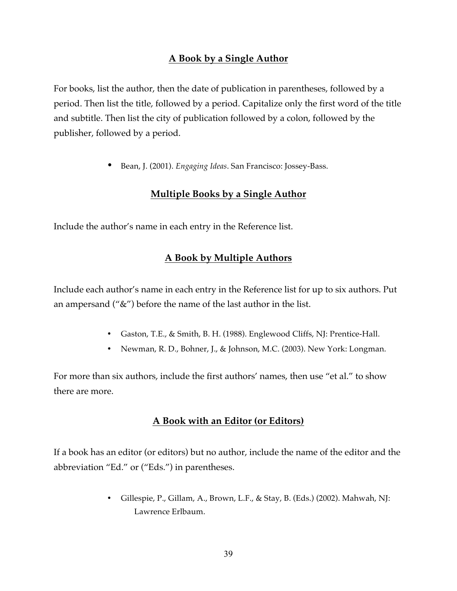### **A Book by a Single Author**

For books, list the author, then the date of publication in parentheses, followed by a period. Then list the title, followed by a period. Capitalize only the first word of the title and subtitle. Then list the city of publication followed by a colon, followed by the publisher, followed by a period.

• Bean, J. (2001). *Engaging Ideas*. San Francisco: Jossey-Bass.

#### **Multiple Books by a Single Author**

Include the author's name in each entry in the Reference list.

#### **A Book by Multiple Authors**

Include each author's name in each entry in the Reference list for up to six authors. Put an ampersand ("&") before the name of the last author in the list.

- Gaston, T.E., & Smith, B. H. (1988). Englewood Cliffs, NJ: Prentice-Hall.
- Newman, R. D., Bohner, J., & Johnson, M.C. (2003). New York: Longman.

For more than six authors, include the first authors' names, then use "et al." to show there are more.

#### **A Book with an Editor (or Editors)**

If a book has an editor (or editors) but no author, include the name of the editor and the abbreviation "Ed." or ("Eds.") in parentheses.

> • Gillespie, P., Gillam, A., Brown, L.F., & Stay, B. (Eds.) (2002). Mahwah, NJ: Lawrence Erlbaum.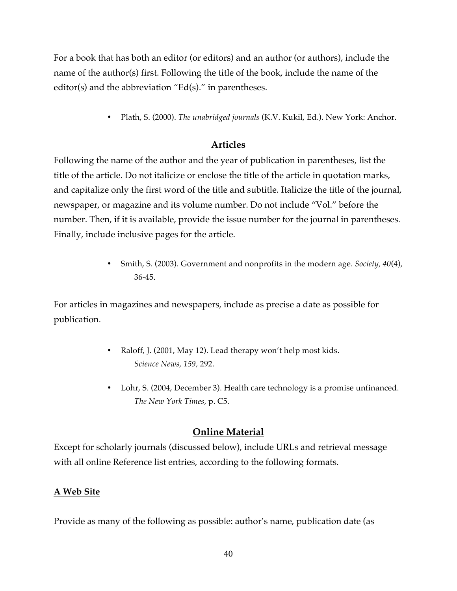For a book that has both an editor (or editors) and an author (or authors), include the name of the author(s) first. Following the title of the book, include the name of the editor(s) and the abbreviation "Ed(s)." in parentheses.

• Plath, S. (2000). *The unabridged journals* (K.V. Kukil, Ed.). New York: Anchor.

### **Articles**

Following the name of the author and the year of publication in parentheses, list the title of the article. Do not italicize or enclose the title of the article in quotation marks, and capitalize only the first word of the title and subtitle. Italicize the title of the journal, newspaper, or magazine and its volume number. Do not include "Vol." before the number. Then, if it is available, provide the issue number for the journal in parentheses. Finally, include inclusive pages for the article.

> • Smith, S. (2003). Government and nonprofits in the modern age. *Society, 40*(4), 36-45.

For articles in magazines and newspapers, include as precise a date as possible for publication.

- Raloff, J. (2001, May 12). Lead therapy won't help most kids. *Science News, 159,* 292.
- Lohr, S. (2004, December 3). Health care technology is a promise unfinanced. *The New York Times,* p. C5.

#### **Online Material**

Except for scholarly journals (discussed below), include URLs and retrieval message with all online Reference list entries, according to the following formats.

#### **A Web Site**

Provide as many of the following as possible: author's name, publication date (as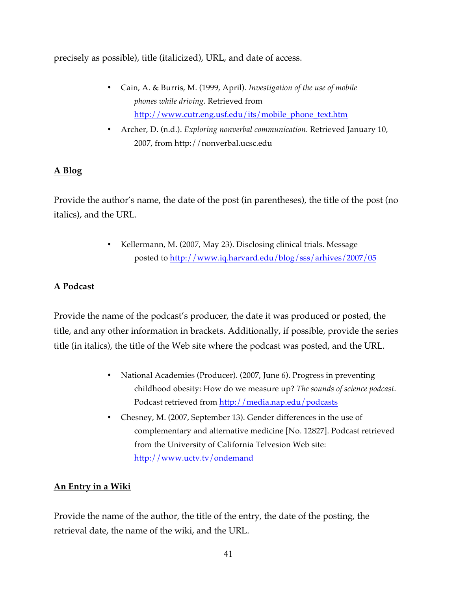precisely as possible), title (italicized), URL, and date of access.

- Cain, A. & Burris, M. (1999, April). *Investigation of the use of mobile phones while driving*. Retrieved from http://www.cutr.eng.usf.edu/its/mobile\_phone\_text.htm
- Archer, D. (n.d.). *Exploring nonverbal communication*. Retrieved January 10, 2007, from http://nonverbal.ucsc.edu

### **A Blog**

Provide the author's name, the date of the post (in parentheses), the title of the post (no italics), and the URL.

> • Kellermann, M. (2007, May 23). Disclosing clinical trials. Message posted to http://www.iq.harvard.edu/blog/sss/arhives/2007/05

### **A Podcast**

Provide the name of the podcast's producer, the date it was produced or posted, the title, and any other information in brackets. Additionally, if possible, provide the series title (in italics), the title of the Web site where the podcast was posted, and the URL.

- National Academies (Producer). (2007, June 6). Progress in preventing childhood obesity: How do we measure up? *The sounds of science podcast*. Podcast retrieved from http://media.nap.edu/podcasts
- Chesney, M. (2007, September 13). Gender differences in the use of complementary and alternative medicine [No. 12827]. Podcast retrieved from the University of California Telvesion Web site: http://www.uctv.tv/ondemand

#### **An Entry in a Wiki**

Provide the name of the author, the title of the entry, the date of the posting, the retrieval date, the name of the wiki, and the URL.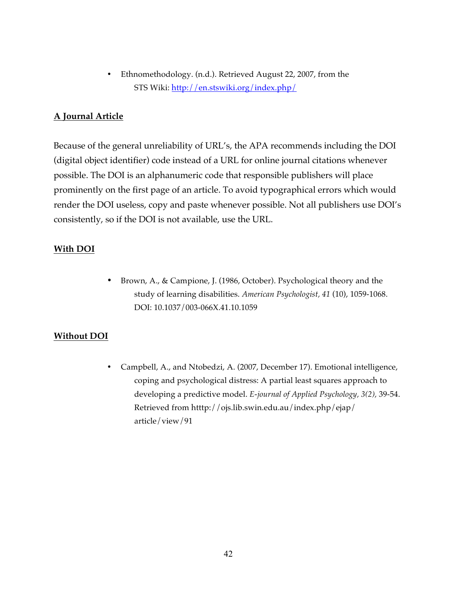• Ethnomethodology. (n.d.). Retrieved August 22, 2007, from the STS Wiki: http://en.stswiki.org/index.php/

#### **A Journal Article**

Because of the general unreliability of URL's, the APA recommends including the DOI (digital object identifier) code instead of a URL for online journal citations whenever possible. The DOI is an alphanumeric code that responsible publishers will place prominently on the first page of an article. To avoid typographical errors which would render the DOI useless, copy and paste whenever possible. Not all publishers use DOI's consistently, so if the DOI is not available, use the URL.

#### **With DOI**

• Brown, A., & Campione, J. (1986, October). Psychological theory and the study of learning disabilities. *American Psychologist, 41* (10), 1059-1068. DOI: 10.1037/003-066X.41.10.1059

### **Without DOI**

• Campbell, A., and Ntobedzi, A. (2007, December 17). Emotional intelligence, coping and psychological distress: A partial least squares approach to developing a predictive model. *E-journal of Applied Psychology, 3(2),* 39-54. Retrieved from htttp://ojs.lib.swin.edu.au/index.php/ejap/ article/view/91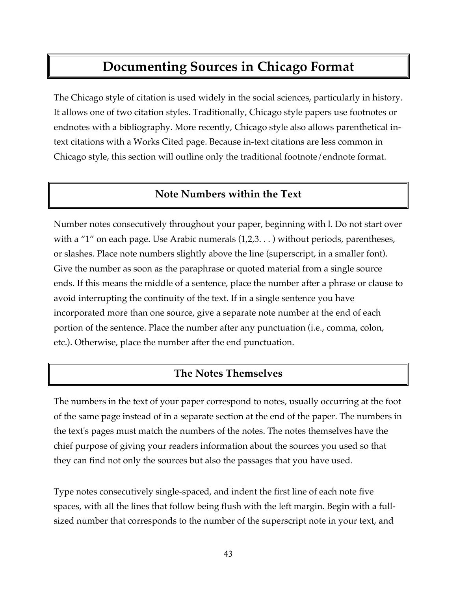## **Documenting Sources in Chicago Format**

The Chicago style of citation is used widely in the social sciences, particularly in history. It allows one of two citation styles. Traditionally, Chicago style papers use footnotes or endnotes with a bibliography. More recently, Chicago style also allows parenthetical intext citations with a Works Cited page. Because in-text citations are less common in Chicago style, this section will outline only the traditional footnote/endnote format.

### **Note Numbers within the Text**

Number notes consecutively throughout your paper, beginning with l. Do not start over with a "1" on each page. Use Arabic numerals  $(1,2,3...)$  without periods, parentheses, or slashes. Place note numbers slightly above the line (superscript, in a smaller font). Give the number as soon as the paraphrase or quoted material from a single source ends. If this means the middle of a sentence, place the number after a phrase or clause to avoid interrupting the continuity of the text. If in a single sentence you have incorporated more than one source, give a separate note number at the end of each portion of the sentence. Place the number after any punctuation (i.e., comma, colon, etc.). Otherwise, place the number after the end punctuation.

### **The Notes Themselves**

The numbers in the text of your paper correspond to notes, usually occurring at the foot of the same page instead of in a separate section at the end of the paper. The numbers in the text's pages must match the numbers of the notes. The notes themselves have the chief purpose of giving your readers information about the sources you used so that they can find not only the sources but also the passages that you have used.

Type notes consecutively single-spaced, and indent the first line of each note five spaces, with all the lines that follow being flush with the left margin. Begin with a fullsized number that corresponds to the number of the superscript note in your text, and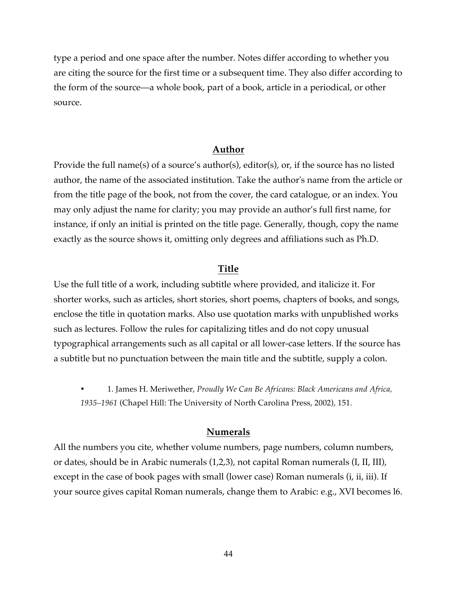type a period and one space after the number. Notes differ according to whether you are citing the source for the first time or a subsequent time. They also differ according to the form of the source—a whole book, part of a book, article in a periodical, or other source.

#### **Author**

Provide the full name(s) of a source's author(s), editor(s), or, if the source has no listed author, the name of the associated institution. Take the author's name from the article or from the title page of the book, not from the cover, the card catalogue, or an index. You may only adjust the name for clarity; you may provide an author's full first name, for instance, if only an initial is printed on the title page. Generally, though, copy the name exactly as the source shows it, omitting only degrees and affiliations such as Ph.D.

#### **Title**

Use the full title of a work, including subtitle where provided, and italicize it. For shorter works, such as articles, short stories, short poems, chapters of books, and songs, enclose the title in quotation marks. Also use quotation marks with unpublished works such as lectures. Follow the rules for capitalizing titles and do not copy unusual typographical arrangements such as all capital or all lower-case letters. If the source has a subtitle but no punctuation between the main title and the subtitle, supply a colon.

• 1. James H. Meriwether, *Proudly We Can Be Africans: Black Americans and Africa, 1935–1961* (Chapel Hill: The University of North Carolina Press, 2002), 151.

#### **Numerals**

All the numbers you cite, whether volume numbers, page numbers, column numbers, or dates, should be in Arabic numerals (1,2,3), not capital Roman numerals (I, II, III), except in the case of book pages with small (lower case) Roman numerals (*i, ii, iii*). If your source gives capital Roman numerals, change them to Arabic: e.g., XVI becomes l6.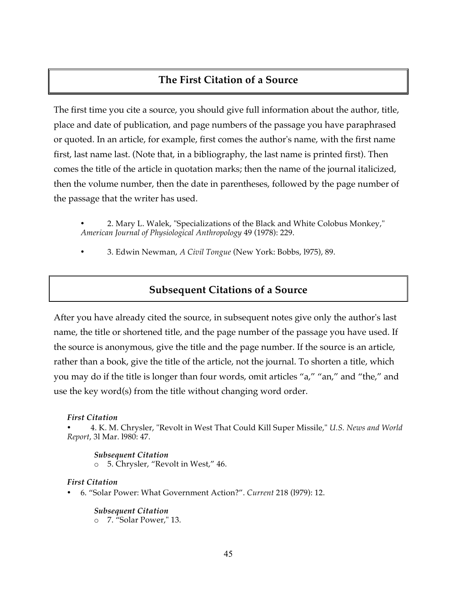### **The First Citation of a Source**

The first time you cite a source, you should give full information about the author, title, place and date of publication, and page numbers of the passage you have paraphrased or quoted. In an article, for example, first comes the author's name, with the first name first, last name last. (Note that, in a bibliography, the last name is printed first). Then comes the title of the article in quotation marks; then the name of the journal italicized, then the volume number, then the date in parentheses, followed by the page number of the passage that the writer has used.

• 2. Mary L. Walek, "Specializations of the Black and White Colobus Monkey," *American Journal of Physiological Anthropology* 49 (1978): 229.

• 3. Edwin Newman, *A Civil Tongue* (New York: Bobbs, l975), 89.

### **Subsequent Citations of a Source**

After you have already cited the source, in subsequent notes give only the author's last name, the title or shortened title, and the page number of the passage you have used. If the source is anonymous, give the title and the page number. If the source is an article, rather than a book, give the title of the article, not the journal. To shorten a title, which you may do if the title is longer than four words, omit articles "a," "an," and "the," and use the key word(s) from the title without changing word order.

#### *First Citation*

• 4. K. M. Chrysler, "Revolt in West That Could Kill Super Missile," *U.S. News and World Report*, 3l Mar. l980: 47.

*Subsequent Citation* o 5. Chrysler, "Revolt in West," 46.

#### *First Citation*

• 6. "Solar Power: What Government Action?". *Current* 218 (l979): 12.

#### *Subsequent Citation*

o 7. "Solar Power," 13.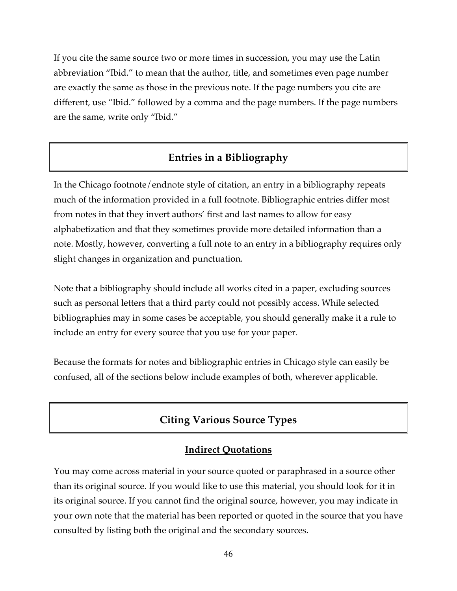If you cite the same source two or more times in succession, you may use the Latin abbreviation "Ibid." to mean that the author, title, and sometimes even page number are exactly the same as those in the previous note. If the page numbers you cite are different, use "Ibid." followed by a comma and the page numbers. If the page numbers are the same, write only "Ibid."

### **Entries in a Bibliography**

In the Chicago footnote/endnote style of citation, an entry in a bibliography repeats much of the information provided in a full footnote. Bibliographic entries differ most from notes in that they invert authors' first and last names to allow for easy alphabetization and that they sometimes provide more detailed information than a note. Mostly, however, converting a full note to an entry in a bibliography requires only slight changes in organization and punctuation.

Note that a bibliography should include all works cited in a paper, excluding sources such as personal letters that a third party could not possibly access. While selected bibliographies may in some cases be acceptable, you should generally make it a rule to include an entry for every source that you use for your paper.

Because the formats for notes and bibliographic entries in Chicago style can easily be confused, all of the sections below include examples of both, wherever applicable.

### **Citing Various Source Types**

### **Indirect Quotations**

You may come across material in your source quoted or paraphrased in a source other than its original source. If you would like to use this material, you should look for it in its original source. If you cannot find the original source, however, you may indicate in your own note that the material has been reported or quoted in the source that you have consulted by listing both the original and the secondary sources.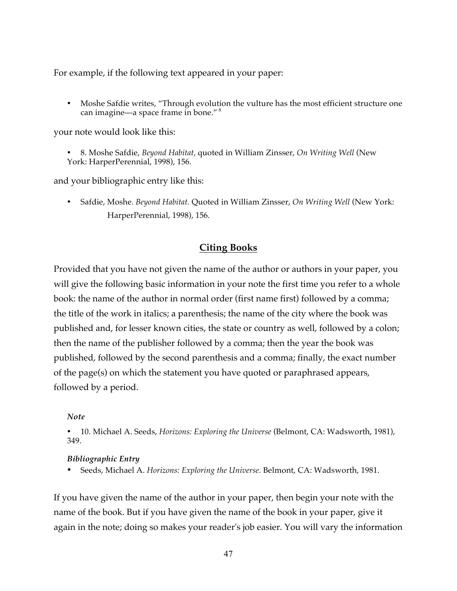For example, if the following text appeared in your paper:

• Moshe Safdie writes, "Through evolution the vulture has the most efficient structure one can imagine—a space frame in bone." <sup>8</sup>

your note would look like this:

• 8. Moshe Safdie, *Beyond Habitat,* quoted in William Zinsser, *On Writing Well* (New York: HarperPerennial, 1998), 156.

and your bibliographic entry like this:

• Safdie, Moshe. *Beyond Habitat.* Quoted in William Zinsser, *On Writing Well* (New York: HarperPerennial, 1998), 156.

#### **Citing Books**

Provided that you have not given the name of the author or authors in your paper, you will give the following basic information in your note the first time you refer to a whole book: the name of the author in normal order (first name first) followed by a comma; the title of the work in italics; a parenthesis; the name of the city where the book was published and, for lesser known cities, the state or country as well, followed by a colon; then the name of the publisher followed by a comma; then the year the book was published, followed by the second parenthesis and a comma; finally, the exact number of the page(s) on which the statement you have quoted or paraphrased appears, followed by a period.

#### *Note*

• 10. Michael A. Seeds, *Horizons: Exploring the Universe* (Belmont, CA: Wadsworth, 1981), 349.

#### *Bibliographic Entry*

• Seeds, Michael A. *Horizons: Exploring the Universe.* Belmont, CA: Wadsworth, 1981.

If you have given the name of the author in your paper, then begin your note with the name of the book. But if you have given the name of the book in your paper, give it again in the note; doing so makes your reader's job easier. You will vary the information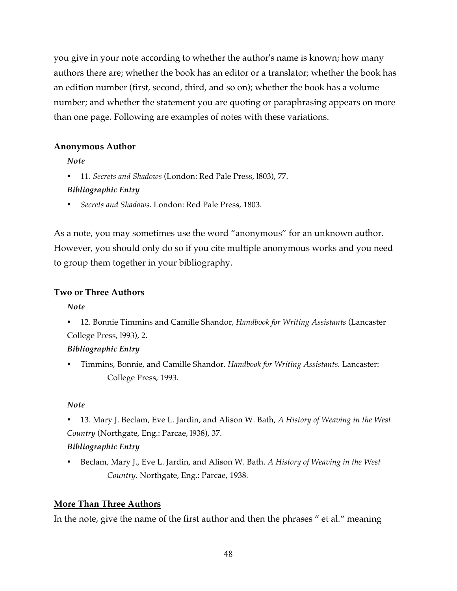you give in your note according to whether the author's name is known; how many authors there are; whether the book has an editor or a translator; whether the book has an edition number (first, second, third, and so on); whether the book has a volume number; and whether the statement you are quoting or paraphrasing appears on more than one page. Following are examples of notes with these variations.

#### **Anonymous Author**

*Note*

• 11. *Secrets and Shadows* (London: Red Pale Press, l803), 77.

#### *Bibliographic Entry*

• *Secrets and Shadows.* London: Red Pale Press, 1803.

As a note, you may sometimes use the word "anonymous" for an unknown author. However, you should only do so if you cite multiple anonymous works and you need to group them together in your bibliography.

#### **Two or Three Authors**

*Note*

• 12. Bonnie Timmins and Camille Shandor, *Handbook for Writing Assistants* (Lancaster College Press, l993), 2.

### *Bibliographic Entry*

• Timmins, Bonnie, and Camille Shandor. *Handbook for Writing Assistants.* Lancaster: College Press, 1993.

#### *Note*

• 13. Mary J. Beclam, Eve L. Jardin, and Alison W. Bath, *A History of Weaving in the West Country* (Northgate, Eng.: Parcae, l938), 37.

### *Bibliographic Entry*

• Beclam, Mary J., Eve L. Jardin, and Alison W. Bath. *A History of Weaving in the West Country.* Northgate, Eng.: Parcae, 1938.

### **More Than Three Authors**

In the note, give the name of the first author and then the phrases " et al." meaning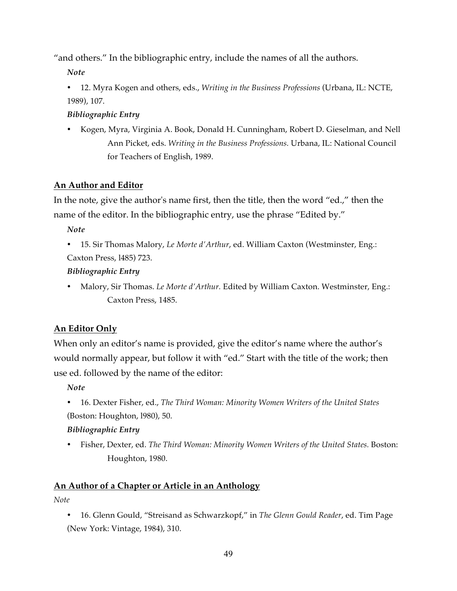"and others." In the bibliographic entry, include the names of all the authors.

*Note*

• 12. Myra Kogen and others, eds., *Writing in the Business Professions* (Urbana, IL: NCTE, 1989), 107.

### *Bibliographic Entry*

• Kogen, Myra, Virginia A. Book, Donald H. Cunningham, Robert D. Gieselman, and Nell Ann Picket, eds. *Writing in the Business Professions.* Urbana, IL: National Council for Teachers of English, 1989.

### **An Author and Editor**

In the note, give the author's name first, then the title, then the word "ed.," then the name of the editor. In the bibliographic entry, use the phrase "Edited by."

*Note*

• 15. Sir Thomas Malory, *Le Morte d'Arthur*, ed. William Caxton (Westminster, Eng.: Caxton Press, l485) 723.

### *Bibliographic Entry*

• Malory, Sir Thomas. *Le Morte d'Arthur.* Edited by William Caxton. Westminster, Eng.: Caxton Press, 1485.

### **An Editor Only**

When only an editor's name is provided, give the editor's name where the author's would normally appear, but follow it with "ed." Start with the title of the work; then use ed. followed by the name of the editor:

*Note*

• 16. Dexter Fisher, ed., *The Third Woman: Minority Women Writers of the United States* (Boston: Houghton, l980), 50.

### *Bibliographic Entry*

• Fisher, Dexter, ed. *The Third Woman: Minority Women Writers of the United States. Boston:* Houghton, 1980.

### **An Author of a Chapter or Article in an Anthology**

*Note*

• 16. Glenn Gould, "Streisand as Schwarzkopf," in *The Glenn Gould Reader*, ed. Tim Page (New York: Vintage, 1984), 310.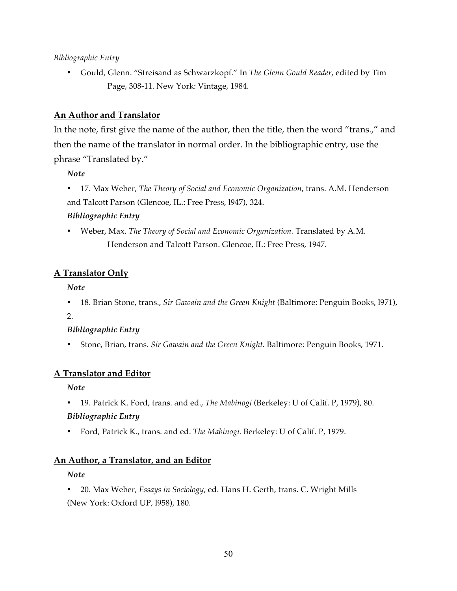#### *Bibliographic Entry*

• Gould, Glenn. "Streisand as Schwarzkopf." In *The Glenn Gould Reader*, edited by Tim Page, 308-11. New York: Vintage, 1984.

#### **An Author and Translator**

In the note, first give the name of the author, then the title, then the word "trans.," and then the name of the translator in normal order. In the bibliographic entry, use the phrase "Translated by."

*Note*

- 17. Max Weber, *The Theory of Social and Economic Organization*, trans. A.M. Henderson and Talcott Parson (Glencoe, IL.: Free Press, l947), 324. *Bibliographic Entry*
- Weber, Max. *The Theory of Social and Economic Organization.* Translated by A.M. Henderson and Talcott Parson. Glencoe, IL: Free Press, 1947.

#### **A Translator Only**

*Note*

• 18. Brian Stone, trans., *Sir Gawain and the Green Knight* (Baltimore: Penguin Books, l971),

2.

#### *Bibliographic Entry*

• Stone, Brian, trans. *Sir Gawain and the Green Knight.* Baltimore: Penguin Books, 1971.

#### **A Translator and Editor**

*Note*

• 19. Patrick K. Ford, trans. and ed., *The Mabinogi* (Berkeley: U of Calif. P, 1979), 80.

#### *Bibliographic Entry*

• Ford, Patrick K., trans. and ed. *The Mabinogi.* Berkeley: U of Calif. P, 1979.

#### **An Author, a Translator, and an Editor**

*Note*

• 20. Max Weber, *Essays in Sociology*, ed. Hans H. Gerth, trans. C. Wright Mills (New York: Oxford UP, l958), 180.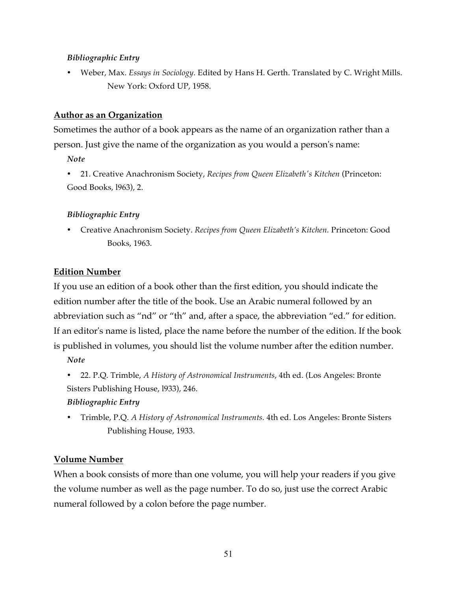#### *Bibliographic Entry*

• Weber, Max. *Essays in Sociology.* Edited by Hans H. Gerth. Translated by C. Wright Mills. New York: Oxford UP, 1958.

#### **Author as an Organization**

Sometimes the author of a book appears as the name of an organization rather than a person. Just give the name of the organization as you would a person's name:

*Note*

• 21. Creative Anachronism Society, *Recipes from Queen Elizabeth's Kitchen* (Princeton: Good Books, l963), 2.

#### *Bibliographic Entry*

• Creative Anachronism Society. *Recipes from Queen Elizabeth's Kitchen.* Princeton: Good Books, 1963.

#### **Edition Number**

If you use an edition of a book other than the first edition, you should indicate the edition number after the title of the book. Use an Arabic numeral followed by an abbreviation such as "nd" or "th" and, after a space, the abbreviation "ed." for edition. If an editor's name is listed, place the name before the number of the edition. If the book is published in volumes, you should list the volume number after the edition number.

*Note*

• 22. P.Q. Trimble, *A History of Astronomical Instruments*, 4th ed. (Los Angeles: Bronte Sisters Publishing House, l933), 246.

#### *Bibliographic Entry*

• Trimble, P.Q. *A History of Astronomical Instruments.* 4th ed. Los Angeles: Bronte Sisters Publishing House, 1933.

#### **Volume Number**

When a book consists of more than one volume, you will help your readers if you give the volume number as well as the page number. To do so, just use the correct Arabic numeral followed by a colon before the page number.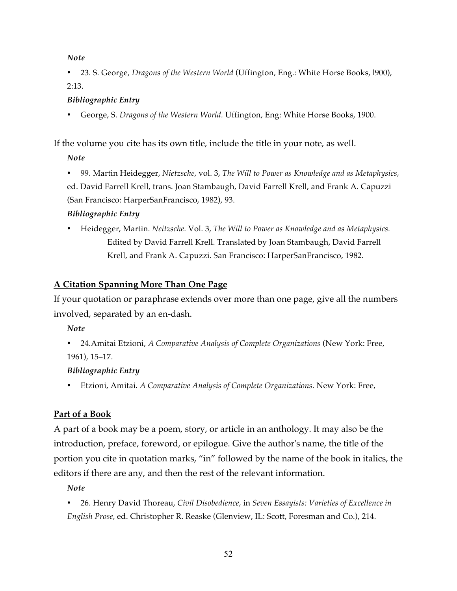• 23. S. George, *Dragons of the Western World* (Uffington, Eng.: White Horse Books, l900), 2:13.

#### *Bibliographic Entry*

• George, S. *Dragons of the Western World.* Uffington, Eng: White Horse Books, 1900.

If the volume you cite has its own title, include the title in your note, as well.

*Note*

• 99. Martin Heidegger, *Nietzsche,* vol. 3, *The Will to Power as Knowledge and as Metaphysics,*  ed. David Farrell Krell, trans. Joan Stambaugh, David Farrell Krell, and Frank A. Capuzzi (San Francisco: HarperSanFrancisco, 1982), 93.

### *Bibliographic Entry*

• Heidegger, Martin. *Neitzsche.* Vol. 3, *The Will to Power as Knowledge and as Metaphysics.*  Edited by David Farrell Krell. Translated by Joan Stambaugh, David Farrell Krell, and Frank A. Capuzzi. San Francisco: HarperSanFrancisco, 1982.

### **A Citation Spanning More Than One Page**

If your quotation or paraphrase extends over more than one page, give all the numbers involved, separated by an en-dash.

*Note*

• 24.Amitai Etzioni, *A Comparative Analysis of Complete Organizations* (New York: Free, 1961), 15–17.

### *Bibliographic Entry*

• Etzioni, Amitai. *A Comparative Analysis of Complete Organizations.* New York: Free,

### **Part of a Book**

A part of a book may be a poem, story, or article in an anthology. It may also be the introduction, preface, foreword, or epilogue. Give the author's name, the title of the portion you cite in quotation marks, "in" followed by the name of the book in italics, the editors if there are any, and then the rest of the relevant information.

*Note*

• 26. Henry David Thoreau, *Civil Disobedience,* in *Seven Essayists: Varieties of Excellence in English Prose,* ed. Christopher R. Reaske (Glenview, IL: Scott, Foresman and Co.), 214.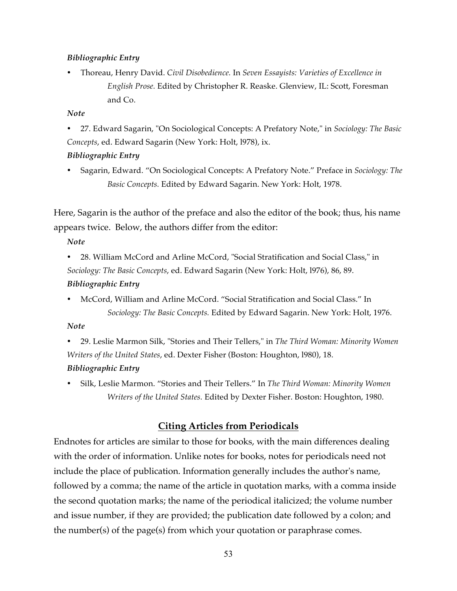#### *Bibliographic Entry*

• Thoreau, Henry David. *Civil Disobedience.* In *Seven Essayists: Varieties of Excellence in English Prose.* Edited by Christopher R. Reaske. Glenview, IL: Scott, Foresman and Co.

#### *Note*

• 27. Edward Sagarin, "On Sociological Concepts: A Prefatory Note," in *Sociology: The Basic Concepts*, ed. Edward Sagarin (New York: Holt, l978), ix.

#### *Bibliographic Entry*

• Sagarin, Edward. "On Sociological Concepts: A Prefatory Note." Preface in *Sociology: The Basic Concepts.* Edited by Edward Sagarin. New York: Holt, 1978.

Here, Sagarin is the author of the preface and also the editor of the book; thus, his name appears twice. Below, the authors differ from the editor:

*Note*

• 28. William McCord and Arline McCord, "Social Stratification and Social Class," in *Sociology: The Basic Concepts*, ed. Edward Sagarin (New York: Holt, l976), 86, 89.

#### *Bibliographic Entry*

• McCord, William and Arline McCord. "Social Stratification and Social Class." In *Sociology: The Basic Concepts.* Edited by Edward Sagarin. New York: Holt, 1976.

*Note*

• 29. Leslie Marmon Silk, "Stories and Their Tellers," in *The Third Woman: Minority Women Writers of the United States*, ed. Dexter Fisher (Boston: Houghton, l980), 18.

#### *Bibliographic Entry*

• Silk, Leslie Marmon. "Stories and Their Tellers." In *The Third Woman: Minority Women Writers of the United States.* Edited by Dexter Fisher. Boston: Houghton, 1980.

### **Citing Articles from Periodicals**

Endnotes for articles are similar to those for books, with the main differences dealing with the order of information. Unlike notes for books, notes for periodicals need not include the place of publication. Information generally includes the author's name, followed by a comma; the name of the article in quotation marks, with a comma inside the second quotation marks; the name of the periodical italicized; the volume number and issue number, if they are provided; the publication date followed by a colon; and the number(s) of the page(s) from which your quotation or paraphrase comes.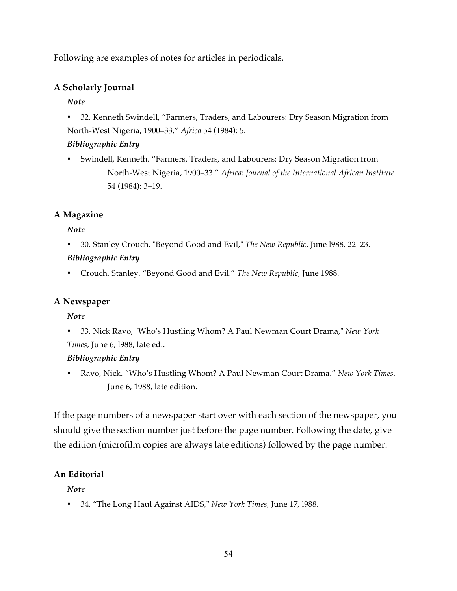Following are examples of notes for articles in periodicals.

### **A Scholarly Journal**

*Note*

• 32. Kenneth Swindell, "Farmers, Traders, and Labourers: Dry Season Migration from North-West Nigeria, 1900–33," *Africa* 54 (1984): 5.

#### *Bibliographic Entry*

• Swindell, Kenneth. "Farmers, Traders, and Labourers: Dry Season Migration from North-West Nigeria, 1900–33." *Africa: Journal of the International African Institute*  54 (1984): 3–19.

### **A Magazine**

*Note*

- 30. Stanley Crouch, "Beyond Good and Evil," *The New Republic*, June l988, 22–23. *Bibliographic Entry*
- Crouch, Stanley. "Beyond Good and Evil." *The New Republic,* June 1988.

### **A Newspaper**

*Note*

• 33. Nick Ravo, "Who's Hustling Whom? A Paul Newman Court Drama," *New York Times*, June 6, l988, late ed..

### *Bibliographic Entry*

• Ravo, Nick. "Who's Hustling Whom? A Paul Newman Court Drama." *New York Times,*  June 6, 1988, late edition.

If the page numbers of a newspaper start over with each section of the newspaper, you should give the section number just before the page number. Following the date, give the edition (microfilm copies are always late editions) followed by the page number.

### **An Editorial**

*Note*

• 34. "The Long Haul Against AIDS," *New York Times,* June 17, l988.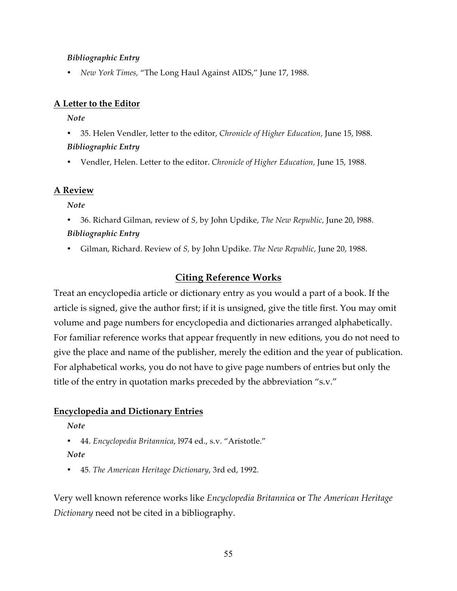#### *Bibliographic Entry*

• *New York Times,* "The Long Haul Against AIDS," June 17, 1988.

#### **A Letter to the Editor**

*Note*

- 35. Helen Vendler, letter to the editor, *Chronicle of Higher Education,* June 15, l988. *Bibliographic Entry*
- Vendler, Helen. Letter to the editor. *Chronicle of Higher Education,* June 15, 1988.

#### **A Review**

*Note*

- 36. Richard Gilman, review of *S,* by John Updike, *The New Republic,* June 20, l988. *Bibliographic Entry*
- Gilman, Richard. Review of *S,* by John Updike. *The New Republic,* June 20, 1988.

### **Citing Reference Works**

Treat an encyclopedia article or dictionary entry as you would a part of a book. If the article is signed, give the author first; if it is unsigned, give the title first. You may omit volume and page numbers for encyclopedia and dictionaries arranged alphabetically. For familiar reference works that appear frequently in new editions, you do not need to give the place and name of the publisher, merely the edition and the year of publication. For alphabetical works, you do not have to give page numbers of entries but only the title of the entry in quotation marks preceded by the abbreviation "s.v."

#### **Encyclopedia and Dictionary Entries**

#### *Note*

- 44. *Encyclopedia Britannica*, l974 ed., s.v. "Aristotle."
- *Note*
- 45*. The American Heritage Dictionary*, 3rd ed, 1992.

Very well known reference works like *Encyclopedia Britannica* or *The American Heritage Dictionary* need not be cited in a bibliography.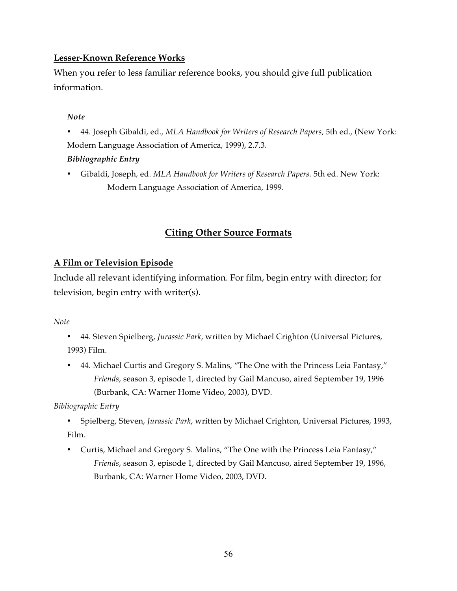#### **Lesser-Known Reference Works**

When you refer to less familiar reference books, you should give full publication information.

#### *Note*

• 44. Joseph Gibaldi, ed., *MLA Handbook for Writers of Research Papers,* 5th ed., (New York: Modern Language Association of America, 1999), 2.7.3. *Bibliographic Entry*

• Gibaldi, Joseph, ed. *MLA Handbook for Writers of Research Papers.* 5th ed. New York: Modern Language Association of America, 1999.

### **Citing Other Source Formats**

#### **A Film or Television Episode**

Include all relevant identifying information. For film, begin entry with director; for television, begin entry with writer(s).

*Note*

- 44. Steven Spielberg, *Jurassic Park*, written by Michael Crighton (Universal Pictures, 1993) Film.
- 44. Michael Curtis and Gregory S. Malins, "The One with the Princess Leia Fantasy," *Friends*, season 3, episode 1, directed by Gail Mancuso, aired September 19, 1996 (Burbank, CA: Warner Home Video, 2003), DVD.

*Bibliographic Entry*

- Spielberg, Steven, *Jurassic Park*, written by Michael Crighton, Universal Pictures, 1993, Film.
- Curtis, Michael and Gregory S. Malins, "The One with the Princess Leia Fantasy," *Friends*, season 3, episode 1, directed by Gail Mancuso, aired September 19, 1996, Burbank, CA: Warner Home Video, 2003, DVD.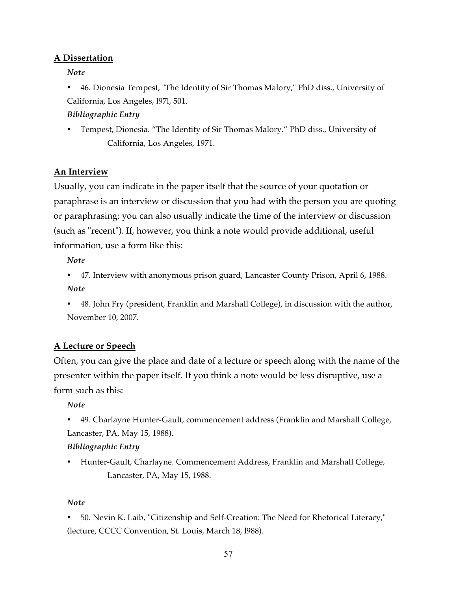#### **A Dissertation**

*Note*

• 46. Dionesia Tempest, "The Identity of Sir Thomas Malory," PhD diss., University of California, Los Angeles, l97l, 501.

#### *Bibliographic Entry*

• Tempest, Dionesia. "The Identity of Sir Thomas Malory." PhD diss., University of California, Los Angeles, 1971.

#### **An Interview**

Usually, you can indicate in the paper itself that the source of your quotation or paraphrase is an interview or discussion that you had with the person you are quoting or paraphrasing; you can also usually indicate the time of the interview or discussion (such as "recent"). If, however, you think a note would provide additional, useful information, use a form like this:

*Note*

- 47. Interview with anonymous prison guard, Lancaster County Prison, April 6, 1988. *Note*
- 48. John Fry (president, Franklin and Marshall College), in discussion with the author, November 10, 2007.

### **A Lecture or Speech**

Often, you can give the place and date of a lecture or speech along with the name of the presenter within the paper itself. If you think a note would be less disruptive, use a form such as this:

*Note*

• 49. Charlayne Hunter-Gault, commencement address (Franklin and Marshall College, Lancaster, PA, May 15, 1988).

#### *Bibliographic Entry*

• Hunter-Gault, Charlayne. Commencement Address, Franklin and Marshall College, Lancaster, PA, May 15, 1988.

#### *Note*

• 50. Nevin K. Laib, "Citizenship and Self-Creation: The Need for Rhetorical Literacy," (lecture, CCCC Convention, St. Louis, March 18, l988).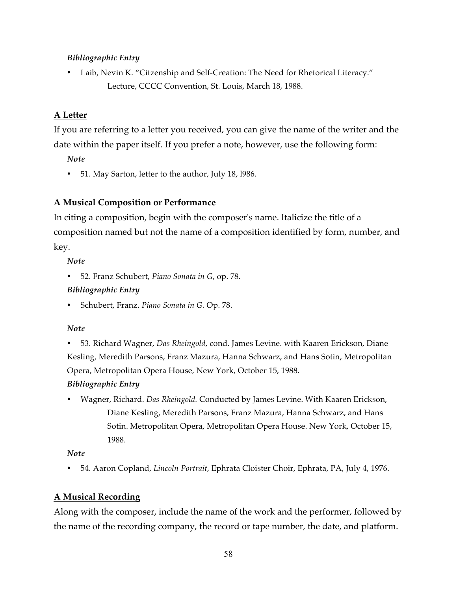#### *Bibliographic Entry*

• Laib, Nevin K. "Citzenship and Self-Creation: The Need for Rhetorical Literacy." Lecture, CCCC Convention, St. Louis, March 18, 1988.

#### **A Letter**

If you are referring to a letter you received, you can give the name of the writer and the date within the paper itself. If you prefer a note, however, use the following form:

*Note*

• 51. May Sarton, letter to the author, July 18, l986.

#### **A Musical Composition or Performance**

In citing a composition, begin with the composer's name. Italicize the title of a composition named but not the name of a composition identified by form, number, and key.

*Note*

• 52. Franz Schubert, *Piano Sonata in G*, op. 78.

#### *Bibliographic Entry*

• Schubert, Franz. *Piano Sonata in G.* Op. 78.

#### *Note*

• 53. Richard Wagner, *Das Rheingold*, cond. James Levine. with Kaaren Erickson, Diane Kesling, Meredith Parsons, Franz Mazura, Hanna Schwarz, and Hans Sotin, Metropolitan Opera, Metropolitan Opera House, New York, October 15, 1988.

#### *Bibliographic Entry*

• Wagner, Richard. *Das Rheingold.* Conducted by James Levine. With Kaaren Erickson, Diane Kesling, Meredith Parsons, Franz Mazura, Hanna Schwarz, and Hans Sotin. Metropolitan Opera, Metropolitan Opera House. New York, October 15, 1988.

*Note*

• 54. Aaron Copland, *Lincoln Portrait*, Ephrata Cloister Choir, Ephrata, PA, July 4, 1976.

#### **A Musical Recording**

Along with the composer, include the name of the work and the performer, followed by the name of the recording company, the record or tape number, the date, and platform.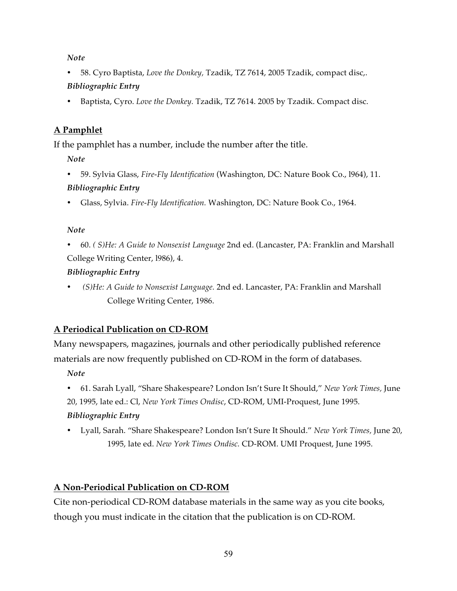• 58. Cyro Baptista, *Love the Donkey,* Tzadik, TZ 7614, 2005 Tzadik, compact disc,.

#### *Bibliographic Entry*

• Baptista, Cyro. *Love the Donkey.* Tzadik, TZ 7614. 2005 by Tzadik. Compact disc.

### **A Pamphlet**

If the pamphlet has a number, include the number after the title.

*Note*

- 59. Sylvia Glass, *Fire-Fly Identification* (Washington, DC: Nature Book Co., l964), 11. *Bibliographic Entry*
- Glass, Sylvia. *Fire-Fly Identification.* Washington, DC: Nature Book Co., 1964.

### *Note*

• 60. *( S)He: A Guide to Nonsexist Language* 2nd ed. (Lancaster, PA: Franklin and Marshall College Writing Center, l986), 4.

### *Bibliographic Entry*

• *(S)He: A Guide to Nonsexist Language.* 2nd ed. Lancaster, PA: Franklin and Marshall College Writing Center, 1986.

### **A Periodical Publication on CD-ROM**

Many newspapers, magazines, journals and other periodically published reference materials are now frequently published on CD-ROM in the form of databases.

*Note*

• 61. Sarah Lyall, "Share Shakespeare? London Isn't Sure It Should," *New York Times,* June 20, 1995, late ed.: Cl, *New York Times Ondisc*, CD-ROM, UMI-Proquest, June 1995.

### *Bibliographic Entry*

• Lyall, Sarah. "Share Shakespeare? London Isn't Sure It Should." *New York Times,* June 20, 1995, late ed. *New York Times Ondisc.* CD-ROM. UMI Proquest, June 1995.

### **A Non-Periodical Publication on CD-ROM**

Cite non-periodical CD-ROM database materials in the same way as you cite books, though you must indicate in the citation that the publication is on CD-ROM.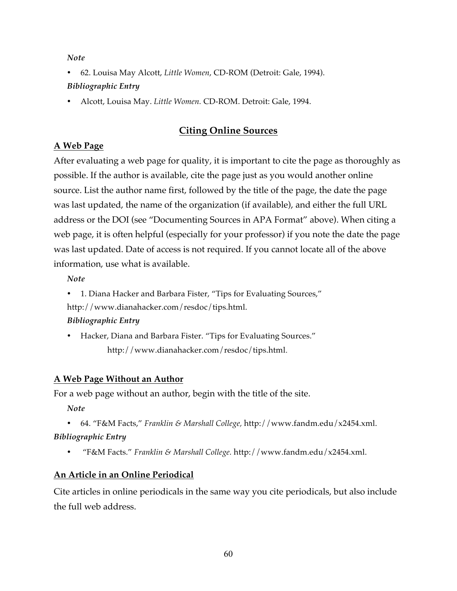- 62. Louisa May Alcott, *Little Women*, CD-ROM (Detroit: Gale, 1994). *Bibliographic Entry*
- Alcott, Louisa May. *Little Women.* CD-ROM. Detroit: Gale, 1994.

### **Citing Online Sources**

### **A Web Page**

After evaluating a web page for quality, it is important to cite the page as thoroughly as possible. If the author is available, cite the page just as you would another online source. List the author name first, followed by the title of the page, the date the page was last updated, the name of the organization (if available), and either the full URL address or the DOI (see "Documenting Sources in APA Format" above). When citing a web page, it is often helpful (especially for your professor) if you note the date the page was last updated. Date of access is not required. If you cannot locate all of the above information, use what is available.

*Note*

• 1. Diana Hacker and Barbara Fister, "Tips for Evaluating Sources," http://www.dianahacker.com/resdoc/tips.html.

### *Bibliographic Entry*

• Hacker, Diana and Barbara Fister. "Tips for Evaluating Sources." http://www.dianahacker.com/resdoc/tips.html.

### **A Web Page Without an Author**

For a web page without an author, begin with the title of the site.

- *Note*
- 64. "F&M Facts," *Franklin & Marshall College,* http://www.fandm.edu/x2454.xml. *Bibliographic Entry*
	- "F&M Facts." *Franklin & Marshall College.* http://www.fandm.edu/x2454.xml.

### **An Article in an Online Periodical**

Cite articles in online periodicals in the same way you cite periodicals, but also include the full web address.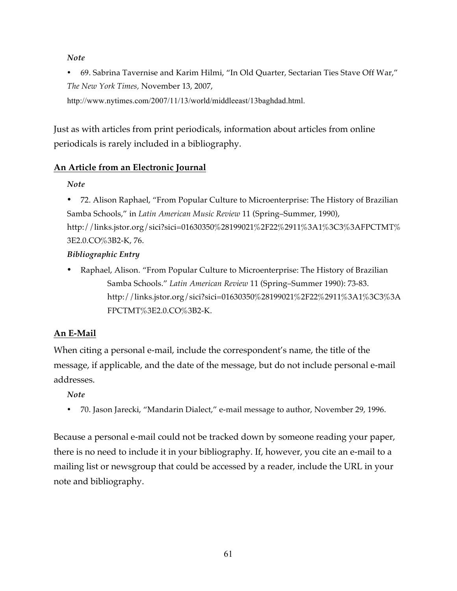• 69. Sabrina Tavernise and Karim Hilmi, "In Old Quarter, Sectarian Ties Stave Off War," *The New York Times,* November 13, 2007,

http://www.nytimes.com/2007/11/13/world/middleeast/13baghdad.html.

Just as with articles from print periodicals, information about articles from online periodicals is rarely included in a bibliography.

#### **An Article from an Electronic Journal**

*Note*

• 72. Alison Raphael, "From Popular Culture to Microenterprise: The History of Brazilian Samba Schools," in *Latin American Music Review* 11 (Spring–Summer, 1990), http://links.jstor.org/sici?sici=01630350%28199021%2F22%2911%3A1%3C3%3AFPCTMT% 3E2.0.CO%3B2-K, 76.

#### *Bibliographic Entry*

• Raphael, Alison. "From Popular Culture to Microenterprise: The History of Brazilian Samba Schools." *Latin American Review* 11 (Spring–Summer 1990): 73-83. http://links.jstor.org/sici?sici=01630350%28199021%2F22%2911%3A1%3C3%3A FPCTMT%3E2.0.CO%3B2-K.

### **An E-Mail**

When citing a personal e-mail, include the correspondent's name, the title of the message, if applicable, and the date of the message, but do not include personal e-mail addresses.

*Note*

• 70. Jason Jarecki, "Mandarin Dialect," e-mail message to author, November 29, 1996.

Because a personal e-mail could not be tracked down by someone reading your paper, there is no need to include it in your bibliography. If, however, you cite an e-mail to a mailing list or newsgroup that could be accessed by a reader, include the URL in your note and bibliography.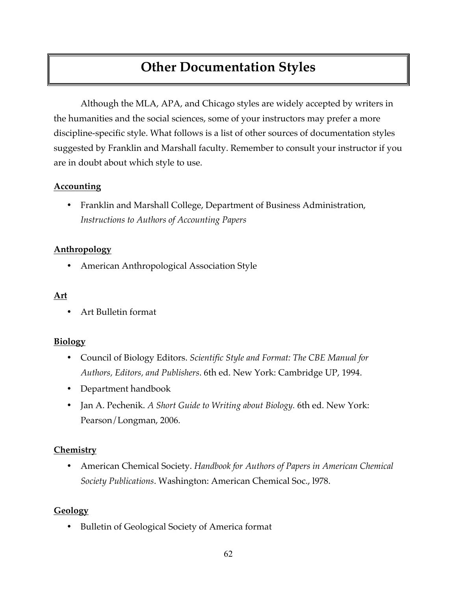## **Other Documentation Styles**

Although the MLA, APA, and Chicago styles are widely accepted by writers in the humanities and the social sciences, some of your instructors may prefer a more discipline-specific style. What follows is a list of other sources of documentation styles suggested by Franklin and Marshall faculty. Remember to consult your instructor if you are in doubt about which style to use.

#### **Accounting**

• Franklin and Marshall College, Department of Business Administration, *Instructions to Authors of Accounting Papers*

#### **Anthropology**

• American Anthropological Association Style

#### **Art**

• Art Bulletin format

#### **Biology**

- Council of Biology Editors. *Scientific Style and Format: The CBE Manual for Authors, Editors, and Publishers*. 6th ed. New York: Cambridge UP, 1994.
- Department handbook
- Jan A. Pechenik. *A Short Guide to Writing about Biology.* 6th ed. New York: Pearson/Longman, 2006.

#### **Chemistry**

• American Chemical Society. *Handbook for Authors of Papers in American Chemical Society Publications*. Washington: American Chemical Soc., l978.

#### **Geology**

• Bulletin of Geological Society of America format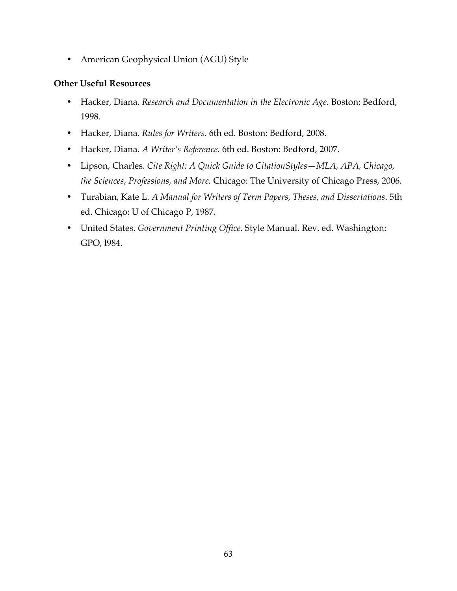• American Geophysical Union (AGU) Style

#### **Other Useful Resources**

- Hacker, Diana. *Research and Documentation in the Electronic Age*. Boston: Bedford, 1998.
- Hacker, Diana. *Rules for Writers.* 6th ed. Boston: Bedford, 2008.
- Hacker, Diana. *A Writer's Reference.* 6th ed. Boston: Bedford, 2007.
- Lipson, Charles. *Cite Right: A Quick Guide to CitationStyles—MLA, APA, Chicago, the Sciences, Professions, and More.* Chicago: The University of Chicago Press, 2006.
- Turabian, Kate L. *A Manual for Writers of Term Papers, Theses, and Dissertations*. 5th ed. Chicago: U of Chicago P, 1987.
- United States*. Government Printing Office*. Style Manual. Rev. ed. Washington: GPO, l984.